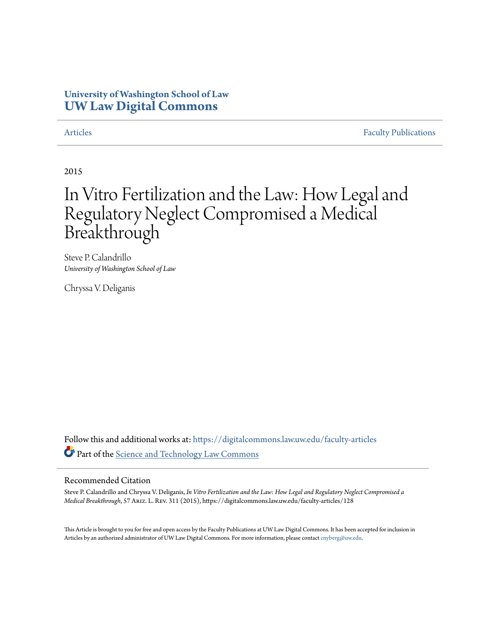## **University of Washington School of Law [UW Law Digital Commons](https://digitalcommons.law.uw.edu?utm_source=digitalcommons.law.uw.edu%2Ffaculty-articles%2F128&utm_medium=PDF&utm_campaign=PDFCoverPages)**

[Articles](https://digitalcommons.law.uw.edu/faculty-articles?utm_source=digitalcommons.law.uw.edu%2Ffaculty-articles%2F128&utm_medium=PDF&utm_campaign=PDFCoverPages) [Faculty Publications](https://digitalcommons.law.uw.edu/faculty-publications?utm_source=digitalcommons.law.uw.edu%2Ffaculty-articles%2F128&utm_medium=PDF&utm_campaign=PDFCoverPages)

2015

# In Vitro Fertilization and the Law: How Legal and Regulatory Neglect Compromised a Medical Breakthrough

Steve P. Calandrillo *University of Washington School of Law*

Chryssa V. Deliganis

Follow this and additional works at: [https://digitalcommons.law.uw.edu/faculty-articles](https://digitalcommons.law.uw.edu/faculty-articles?utm_source=digitalcommons.law.uw.edu%2Ffaculty-articles%2F128&utm_medium=PDF&utm_campaign=PDFCoverPages) Part of the [Science and Technology Law Commons](http://network.bepress.com/hgg/discipline/875?utm_source=digitalcommons.law.uw.edu%2Ffaculty-articles%2F128&utm_medium=PDF&utm_campaign=PDFCoverPages)

#### Recommended Citation

Steve P. Calandrillo and Chryssa V. Deliganis, *In Vitro Fertilization and the Law: How Legal and Regulatory Neglect Compromised a Medical Breakthrough*, 57 Ariz. L. Rev. 311 (2015), https://digitalcommons.law.uw.edu/faculty-articles/128

This Article is brought to you for free and open access by the Faculty Publications at UW Law Digital Commons. It has been accepted for inclusion in Articles by an authorized administrator of UW Law Digital Commons. For more information, please contact [cnyberg@uw.edu.](mailto:cnyberg@uw.edu)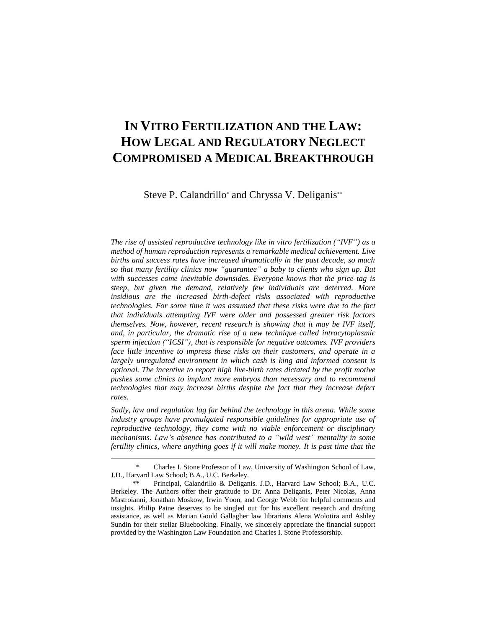# **IN VITRO FERTILIZATION AND THE LAW: HOW LEGAL AND REGULATORY NEGLECT COMPROMISED A MEDICAL BREAKTHROUGH**

Steve P. Calandrillo<sup>\*</sup> and Chryssa V. Deliganis<sup>\*\*</sup>

*The rise of assisted reproductive technology like in vitro fertilization ("IVF") as a method of human reproduction represents a remarkable medical achievement. Live births and success rates have increased dramatically in the past decade, so much so that many fertility clinics now "guarantee" a baby to clients who sign up. But with successes come inevitable downsides. Everyone knows that the price tag is steep, but given the demand, relatively few individuals are deterred. More insidious are the increased birth-defect risks associated with reproductive technologies. For some time it was assumed that these risks were due to the fact that individuals attempting IVF were older and possessed greater risk factors themselves. Now, however, recent research is showing that it may be IVF itself, and, in particular, the dramatic rise of a new technique called intracytoplasmic sperm injection ("ICSI"), that is responsible for negative outcomes. IVF providers face little incentive to impress these risks on their customers, and operate in a largely unregulated environment in which cash is king and informed consent is optional. The incentive to report high live-birth rates dictated by the profit motive pushes some clinics to implant more embryos than necessary and to recommend technologies that may increase births despite the fact that they increase defect rates.*

*Sadly, law and regulation lag far behind the technology in this arena. While some industry groups have promulgated responsible guidelines for appropriate use of reproductive technology, they come with no viable enforcement or disciplinary mechanisms. Law's absence has contributed to a "wild west" mentality in some fertility clinics, where anything goes if it will make money. It is past time that the* 

<sup>\*</sup> Charles I. Stone Professor of Law, University of Washington School of Law, J.D., Harvard Law School; B.A., U.C. Berkeley.

Principal, Calandrillo & Deliganis. J.D., Harvard Law School; B.A., U.C. Berkeley. The Authors offer their gratitude to Dr. Anna Deliganis, Peter Nicolas, Anna Mastroianni, Jonathan Moskow, Irwin Yoon, and George Webb for helpful comments and insights. Philip Paine deserves to be singled out for his excellent research and drafting assistance, as well as Marian Gould Gallagher law librarians Alena Wolotira and Ashley Sundin for their stellar Bluebooking. Finally, we sincerely appreciate the financial support provided by the Washington Law Foundation and Charles I. Stone Professorship.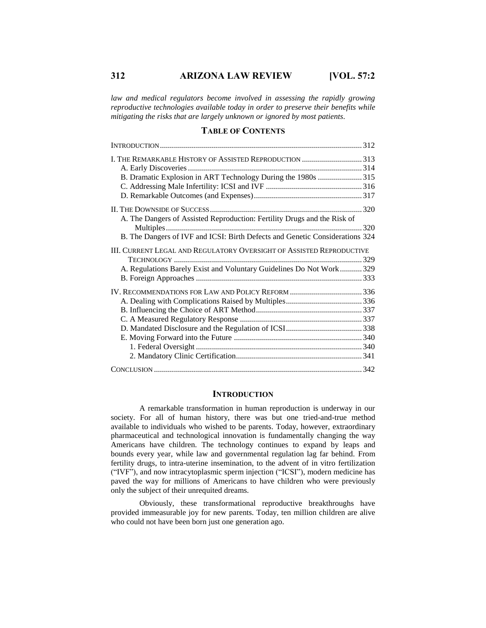*law and medical regulators become involved in assessing the rapidly growing reproductive technologies available today in order to preserve their benefits while mitigating the risks that are largely unknown or ignored by most patients.*

#### **TABLE OF CONTENTS**

| I. THE REMARKABLE HISTORY OF ASSISTED REPRODUCTION 313                       |
|------------------------------------------------------------------------------|
| B. Dramatic Explosion in ART Technology During the 1980s 315                 |
|                                                                              |
|                                                                              |
|                                                                              |
| A. The Dangers of Assisted Reproduction: Fertility Drugs and the Risk of     |
|                                                                              |
| B. The Dangers of IVF and ICSI: Birth Defects and Genetic Considerations 324 |
| III. CURRENT LEGAL AND REGULATORY OVERSIGHT OF ASSISTED REPRODUCTIVE         |
|                                                                              |
| A. Regulations Barely Exist and Voluntary Guidelines Do Not Work 329         |
|                                                                              |
|                                                                              |
|                                                                              |
|                                                                              |
|                                                                              |
|                                                                              |
|                                                                              |
|                                                                              |
|                                                                              |
|                                                                              |

#### **INTRODUCTION**

A remarkable transformation in human reproduction is underway in our society. For all of human history, there was but one tried-and-true method available to individuals who wished to be parents. Today, however, extraordinary pharmaceutical and technological innovation is fundamentally changing the way Americans have children. The technology continues to expand by leaps and bounds every year, while law and governmental regulation lag far behind. From fertility drugs, to intra-uterine insemination, to the advent of in vitro fertilization ("IVF"), and now intracytoplasmic sperm injection ("ICSI"), modern medicine has paved the way for millions of Americans to have children who were previously only the subject of their unrequited dreams.

Obviously, these transformational reproductive breakthroughs have provided immeasurable joy for new parents. Today, ten million children are alive who could not have been born just one generation ago.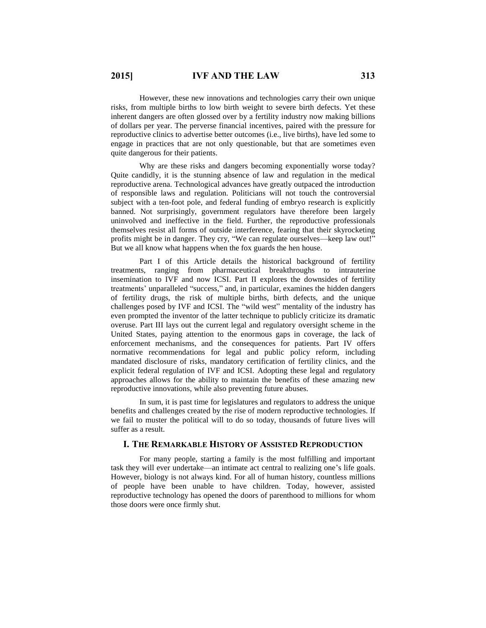However, these new innovations and technologies carry their own unique risks, from multiple births to low birth weight to severe birth defects. Yet these inherent dangers are often glossed over by a fertility industry now making billions of dollars per year. The perverse financial incentives, paired with the pressure for reproductive clinics to advertise better outcomes (i.e., live births), have led some to engage in practices that are not only questionable, but that are sometimes even quite dangerous for their patients.

Why are these risks and dangers becoming exponentially worse today? Quite candidly, it is the stunning absence of law and regulation in the medical reproductive arena. Technological advances have greatly outpaced the introduction of responsible laws and regulation. Politicians will not touch the controversial subject with a ten-foot pole, and federal funding of embryo research is explicitly banned. Not surprisingly, government regulators have therefore been largely uninvolved and ineffective in the field. Further, the reproductive professionals themselves resist all forms of outside interference, fearing that their skyrocketing profits might be in danger. They cry, "We can regulate ourselves—keep law out!" But we all know what happens when the fox guards the hen house.

Part I of this Article details the historical background of fertility treatments, ranging from pharmaceutical breakthroughs to intrauterine insemination to IVF and now ICSI. Part II explores the downsides of fertility treatments' unparalleled "success," and, in particular, examines the hidden dangers of fertility drugs, the risk of multiple births, birth defects, and the unique challenges posed by IVF and ICSI. The "wild west" mentality of the industry has even prompted the inventor of the latter technique to publicly criticize its dramatic overuse. Part III lays out the current legal and regulatory oversight scheme in the United States, paying attention to the enormous gaps in coverage, the lack of enforcement mechanisms, and the consequences for patients. Part IV offers normative recommendations for legal and public policy reform, including mandated disclosure of risks, mandatory certification of fertility clinics, and the explicit federal regulation of IVF and ICSI. Adopting these legal and regulatory approaches allows for the ability to maintain the benefits of these amazing new reproductive innovations, while also preventing future abuses.

In sum, it is past time for legislatures and regulators to address the unique benefits and challenges created by the rise of modern reproductive technologies. If we fail to muster the political will to do so today, thousands of future lives will suffer as a result.

### **I. THE REMARKABLE HISTORY OF ASSISTED REPRODUCTION**

For many people, starting a family is the most fulfilling and important task they will ever undertake—an intimate act central to realizing one's life goals. However, biology is not always kind. For all of human history, countless millions of people have been unable to have children. Today, however, assisted reproductive technology has opened the doors of parenthood to millions for whom those doors were once firmly shut.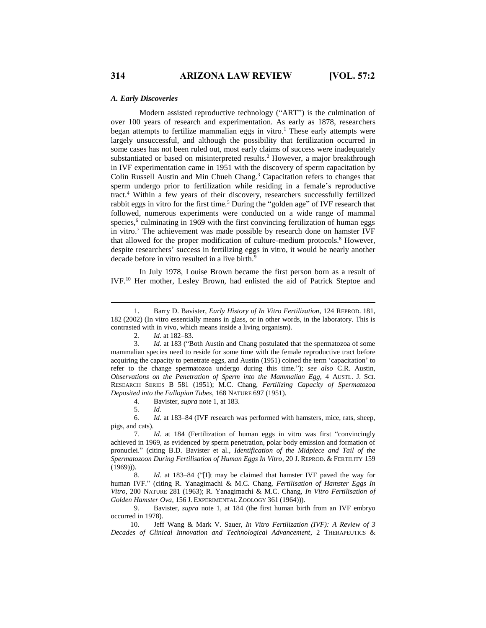#### *A. Early Discoveries*

Modern assisted reproductive technology ("ART") is the culmination of over 100 years of research and experimentation. As early as 1878, researchers began attempts to fertilize mammalian eggs in vitro.<sup>1</sup> These early attempts were largely unsuccessful, and although the possibility that fertilization occurred in some cases has not been ruled out, most early claims of success were inadequately substantiated or based on misinterpreted results.<sup>2</sup> However, a major breakthrough in IVF experimentation came in 1951 with the discovery of sperm capacitation by Colin Russell Austin and Min Chueh Chang. <sup>3</sup> Capacitation refers to changes that sperm undergo prior to fertilization while residing in a female's reproductive tract.<sup>4</sup> Within a few years of their discovery, researchers successfully fertilized rabbit eggs in vitro for the first time.<sup>5</sup> During the "golden age" of IVF research that followed, numerous experiments were conducted on a wide range of mammal species,<sup>6</sup> culminating in 1969 with the first convincing fertilization of human eggs in vitro. <sup>7</sup> The achievement was made possible by research done on hamster IVF that allowed for the proper modification of culture-medium protocols.<sup>8</sup> However, despite researchers' success in fertilizing eggs in vitro, it would be nearly another decade before in vitro resulted in a live birth. 9

In July 1978, Louise Brown became the first person born as a result of IVF.<sup>10</sup> Her mother, Lesley Brown, had enlisted the aid of Patrick Steptoe and

4*.* Bavister, *supra* note 1, at 183.

6*. Id.* at 183–84 (IVF research was performed with hamsters, mice, rats, sheep, pigs, and cats).

8*. Id.* at 183–84 ("[I]t may be claimed that hamster IVF paved the way for human IVF." (citing R. Yanagimachi & M.C. Chang, *Fertilisation of Hamster Eggs In Vitro*, 200 NATURE 281 (1963); R. Yanagimachi & M.C. Chang, *In Vitro Fertilisation of Golden Hamster Ova*, 156 J. EXPERIMENTAL ZOOLOGY 361 (1964))).

9*.* Bavister, *supra* note 1, at 184 (the first human birth from an IVF embryo occurred in 1978).

10. Jeff Wang & Mark V. Sauer, *In Vitro Fertilization (IVF): A Review of 3 Decades of Clinical Innovation and Technological Advancement*, 2 THERAPEUTICS &

<sup>1.</sup> Barry D. Bavister, *Early History of In Vitro Fertilization*, 124 REPROD. 181, 182 (2002) (In vitro essentially means in glass, or in other words, in the laboratory. This is contrasted with in vivo, which means inside a living organism).

<sup>2</sup>*. Id.* at 182–83.

<sup>3</sup>*. Id.* at 183 ("Both Austin and Chang postulated that the spermatozoa of some mammalian species need to reside for some time with the female reproductive tract before acquiring the capacity to penetrate eggs, and Austin (1951) coined the term 'capacitation' to refer to the change spermatozoa undergo during this time."); *see also* C.R. Austin, *Observations on the Penetration of Sperm into the Mammalian Egg*, 4 AUSTL. J. SCI. RESEARCH SERIES B 581 (1951); M.C. Chang, *Fertilizing Capacity of Spermatozoa Deposited into the Fallopian Tubes*, 168 NATURE 697 (1951).

<sup>5</sup>*. Id.*

<sup>7</sup>*. Id.* at 184 (Fertilization of human eggs in vitro was first "convincingly achieved in 1969, as evidenced by sperm penetration, polar body emission and formation of pronuclei." (citing B.D. Bavister et al., *Identification of the Midpiece and Tail of the Spermatozoon During Fertilisation of Human Eggs In Vitro*, 20 J. REPROD. & FERTILITY 159 (1969))).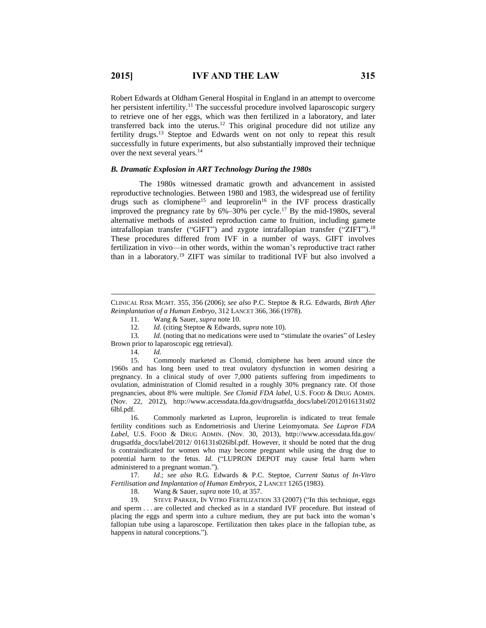Robert Edwards at Oldham General Hospital in England in an attempt to overcome her persistent infertility.<sup>11</sup> The successful procedure involved laparoscopic surgery to retrieve one of her eggs, which was then fertilized in a laboratory, and later transferred back into the uterus.<sup>12</sup> This original procedure did not utilize any fertility drugs.<sup>13</sup> Steptoe and Edwards went on not only to repeat this result successfully in future experiments, but also substantially improved their technique over the next several years.<sup>14</sup>

#### *B. Dramatic Explosion in ART Technology During the 1980s*

The 1980s witnessed dramatic growth and advancement in assisted reproductive technologies. Between 1980 and 1983, the widespread use of fertility drugs such as clomiphene<sup>15</sup> and leuprorelin<sup>16</sup> in the IVF process drastically improved the pregnancy rate by  $6\%-30\%$  per cycle.<sup>17</sup> By the mid-1980s, several alternative methods of assisted reproduction came to fruition, including gamete intrafallopian transfer ("GIFT") and zygote intrafallopian transfer ("ZIFT").<sup>18</sup> These procedures differed from IVF in a number of ways. GIFT involves fertilization in vivo—in other words, within the woman's reproductive tract rather than in a laboratory.<sup>19</sup> ZIFT was similar to traditional IVF but also involved a

13. *Id.* (noting that no medications were used to "stimulate the ovaries" of Lesley Brown prior to laparoscopic egg retrieval).

14*. Id.*

 $\overline{a}$ 

15. Commonly marketed as Clomid, clomiphene has been around since the 1960s and has long been used to treat ovulatory dysfunction in women desiring a pregnancy. In a clinical study of over 7,000 patients suffering from impediments to ovulation, administration of Clomid resulted in a roughly 30% pregnancy rate. Of those pregnancies, about 8% were multiple. *See Clomid FDA label*, U.S. FOOD & DRUG ADMIN. (Nov. 22, 2012), http://www.accessdata.fda.gov/drugsatfda\_docs/label/2012/016131s02 6lbl.pdf.

16. Commonly marketed as Lupron, leuprorelin is indicated to treat female fertility conditions such as Endometriosis and Uterine Leiomyomata. *See Lupron FDA Label*, U.S. FOOD & DRUG ADMIN. (Nov. 30, 2013), http://www.accessdata.fda.gov/ drugsatfda\_docs/label/2012/ 016131s026lbl.pdf. However, it should be noted that the drug is contraindicated for women who may become pregnant while using the drug due to potential harm to the fetus. *Id.* ("LUPRON DEPOT may cause fetal harm when administered to a pregnant woman.").

17*. Id.*; *see also* R.G. Edwards & P.C. Steptoe, *Current Status of In-Vitro Fertilisation and Implantation of Human Embryos*, 2 LANCET 1265 (1983).

18. Wang & Sauer, *supra* note 10, at 357.

19. STEVE PARKER, IN VITRO FERTILIZATION 33 (2007) ("In this technique, eggs and sperm . . . are collected and checked as in a standard IVF procedure. But instead of placing the eggs and sperm into a culture medium, they are put back into the woman's fallopian tube using a laparoscope. Fertilization then takes place in the fallopian tube, as happens in natural conceptions.").

CLINICAL RISK MGMT. 355, 356 (2006); *see also* P.C. Steptoe & R.G. Edwards, *Birth After Reimplantation of a Human Embryo*, 312 LANCET 366, 366 (1978).

<sup>11</sup>*.* Wang & Sauer, *supra* note 10.

<sup>12</sup>*. Id.* (citing Steptoe & Edwards, *supra* note 10).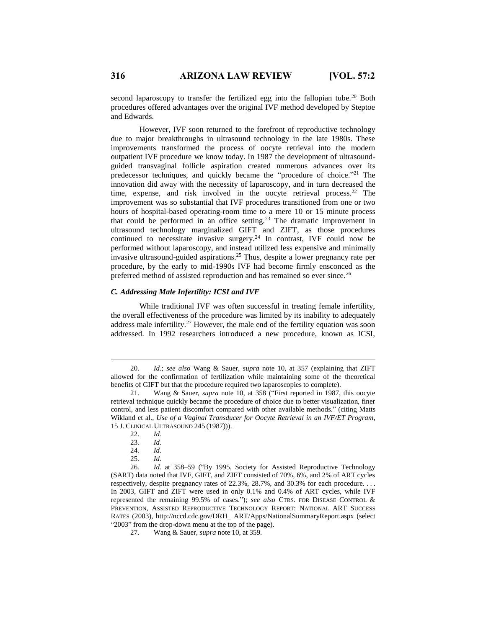second laparoscopy to transfer the fertilized egg into the fallopian tube.<sup>20</sup> Both procedures offered advantages over the original IVF method developed by Steptoe and Edwards.

However, IVF soon returned to the forefront of reproductive technology due to major breakthroughs in ultrasound technology in the late 1980s. These improvements transformed the process of oocyte retrieval into the modern outpatient IVF procedure we know today. In 1987 the development of ultrasoundguided transvaginal follicle aspiration created numerous advances over its predecessor techniques, and quickly became the "procedure of choice."<sup>21</sup> The innovation did away with the necessity of laparoscopy, and in turn decreased the time, expense, and risk involved in the oocyte retrieval process.<sup>22</sup> The improvement was so substantial that IVF procedures transitioned from one or two hours of hospital-based operating-room time to a mere 10 or 15 minute process that could be performed in an office setting.<sup>23</sup> The dramatic improvement in ultrasound technology marginalized GIFT and ZIFT, as those procedures continued to necessitate invasive surgery.<sup>24</sup> In contrast, IVF could now be performed without laparoscopy, and instead utilized less expensive and minimally invasive ultrasound-guided aspirations.<sup>25</sup> Thus, despite a lower pregnancy rate per procedure, by the early to mid-1990s IVF had become firmly ensconced as the preferred method of assisted reproduction and has remained so ever since.<sup>26</sup>

#### *C. Addressing Male Infertility: ICSI and IVF*

While traditional IVF was often successful in treating female infertility, the overall effectiveness of the procedure was limited by its inability to adequately address male infertility.<sup>27</sup> However, the male end of the fertility equation was soon addressed. In 1992 researchers introduced a new procedure, known as ICSI,

<sup>20</sup>*. Id.*; *see also* Wang & Sauer, *supra* note 10, at 357 (explaining that ZIFT allowed for the confirmation of fertilization while maintaining some of the theoretical benefits of GIFT but that the procedure required two laparoscopies to complete).

<sup>21.</sup> Wang & Sauer, *supra* note 10, at 358 ("First reported in 1987, this oocyte retrieval technique quickly became the procedure of choice due to better visualization, finer control, and less patient discomfort compared with other available methods." (citing Matts Wikland et al., *Use of a Vaginal Transducer for Oocyte Retrieval in an IVF/ET Program*, 15 J. CLINICAL ULTRASOUND 245 (1987))).

<sup>22.</sup> *Id.*

<sup>23</sup>*. Id.*

<sup>24</sup>*. Id.*

<sup>25</sup>*. Id.*

<sup>26</sup>*. Id.* at 358–59 ("By 1995, Society for Assisted Reproductive Technology (SART) data noted that IVF, GIFT, and ZIFT consisted of 70%, 6%, and 2% of ART cycles respectively, despite pregnancy rates of 22.3%, 28.7%, and 30.3% for each procedure. . . . In 2003, GIFT and ZIFT were used in only 0.1% and 0.4% of ART cycles, while IVF represented the remaining 99.5% of cases."); *see also* CTRS. FOR DISEASE CONTROL & PREVENTION, ASSISTED REPRODUCTIVE TECHNOLOGY REPORT: NATIONAL ART SUCCESS RATES (2003), http://nccd.cdc.gov/DRH\_ ART/Apps/NationalSummaryReport.aspx (select "2003" from the drop-down menu at the top of the page).

<sup>27.</sup> Wang & Sauer, *supra* note 10, at 359.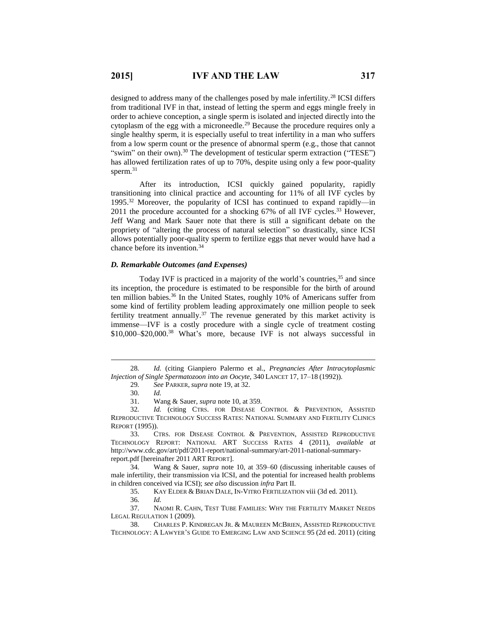designed to address many of the challenges posed by male infertility.<sup>28</sup> ICSI differs from traditional IVF in that, instead of letting the sperm and eggs mingle freely in order to achieve conception, a single sperm is isolated and injected directly into the cytoplasm of the egg with a microneedle.<sup>29</sup> Because the procedure requires only a single healthy sperm, it is especially useful to treat infertility in a man who suffers from a low sperm count or the presence of abnormal sperm (e.g., those that cannot "swim" on their own).<sup>30</sup> The development of testicular sperm extraction ("TESE") has allowed fertilization rates of up to 70%, despite using only a few poor-quality sperm.<sup>31</sup>

After its introduction, ICSI quickly gained popularity, rapidly transitioning into clinical practice and accounting for 11% of all IVF cycles by 1995.<sup>32</sup> Moreover, the popularity of ICSI has continued to expand rapidly—in 2011 the procedure accounted for a shocking 67% of all IVF cycles.<sup>33</sup> However, Jeff Wang and Mark Sauer note that there is still a significant debate on the propriety of "altering the process of natural selection" so drastically, since ICSI allows potentially poor-quality sperm to fertilize eggs that never would have had a chance before its invention. 34

#### *D. Remarkable Outcomes (and Expenses)*

Today IVF is practiced in a majority of the world's countries,<sup>35</sup> and since its inception, the procedure is estimated to be responsible for the birth of around ten million babies.<sup>36</sup> In the United States, roughly 10% of Americans suffer from some kind of fertility problem leading approximately one million people to seek fertility treatment annually.<sup>37</sup> The revenue generated by this market activity is immense—IVF is a costly procedure with a single cycle of treatment costing \$10,000–\$20,000.<sup>38</sup> What's more, because IVF is not always successful in

 $\overline{a}$ 

35. KAY ELDER & BRIAN DALE, IN-VITRO FERTILIZATION viii (3d ed. 2011).

37. NAOMI R. CAHN, TEST TUBE FAMILIES: WHY THE FERTILITY MARKET NEEDS LEGAL REGULATION 1 (2009).

<sup>28</sup>*. Id.* (citing Gianpiero Palermo et al., *Pregnancies After Intracytoplasmic Injection of Single Spermatozoon into an Oocyte*, 340 LANCET 17, 17–18 (1992)).

<sup>29</sup>*. See* PARKER, *supra* note 19, at 32.

<sup>30</sup>*. Id.*

<sup>31.</sup> Wang & Sauer, *supra* note 10, at 359.

<sup>32</sup>*. Id.* (citing CTRS. FOR DISEASE CONTROL & PREVENTION, ASSISTED REPRODUCTIVE TECHNOLOGY SUCCESS RATES: NATIONAL SUMMARY AND FERTILITY CLINICS REPORT (1995)).

<sup>33.</sup> CTRS. FOR DISEASE CONTROL & PREVENTION, ASSISTED REPRODUCTIVE TECHNOLOGY REPORT: NATIONAL ART SUCCESS RATES 4 (2011), *available at* http://www.cdc.gov/art/pdf/2011-report/national-summary/art-2011-national-summaryreport.pdf [hereinafter 2011 ART REPORT].

<sup>34.</sup> Wang & Sauer, *supra* note 10, at 359–60 (discussing inheritable causes of male infertility, their transmission via ICSI, and the potential for increased health problems in children conceived via ICSI); *see also* discussion *infra* Part II.

<sup>36</sup>*. Id.*

<sup>38.</sup> CHARLES P. KINDREGAN JR. & MAUREEN MCBRIEN, ASSISTED REPRODUCTIVE TECHNOLOGY: A LAWYER'S GUIDE TO EMERGING LAW AND SCIENCE 95 (2d ed. 2011) (citing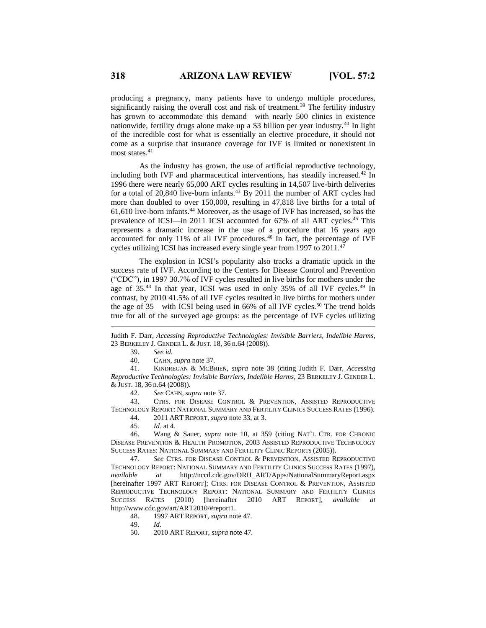producing a pregnancy, many patients have to undergo multiple procedures, significantly raising the overall cost and risk of treatment.<sup>39</sup> The fertility industry has grown to accommodate this demand—with nearly 500 clinics in existence nationwide, fertility drugs alone make up a \$3 billion per year industry.<sup>40</sup> In light of the incredible cost for what is essentially an elective procedure, it should not come as a surprise that insurance coverage for IVF is limited or nonexistent in most states.<sup>41</sup>

As the industry has grown, the use of artificial reproductive technology, including both IVF and pharmaceutical interventions, has steadily increased.<sup>42</sup> In 1996 there were nearly 65,000 ART cycles resulting in 14,507 live-birth deliveries for a total of  $20,840$  live-born infants.<sup>43</sup> By  $2011$  the number of ART cycles had more than doubled to over 150,000, resulting in 47,818 live births for a total of 61,610 live-born infants.<sup>44</sup> Moreover, as the usage of IVF has increased, so has the prevalence of ICSI—in 2011 ICSI accounted for 67% of all ART cycles.<sup>45</sup> This represents a dramatic increase in the use of a procedure that 16 years ago accounted for only 11% of all IVF procedures.<sup>46</sup> In fact, the percentage of IVF cycles utilizing ICSI has increased every single year from 1997 to 2011.<sup>47</sup>

The explosion in ICSI's popularity also tracks a dramatic uptick in the success rate of IVF. According to the Centers for Disease Control and Prevention ("CDC"), in 1997 30.7% of IVF cycles resulted in live births for mothers under the age of 35.<sup>48</sup> In that year, ICSI was used in only 35% of all IVF cycles.<sup>49</sup> In contrast, by 2010 41.5% of all IVF cycles resulted in live births for mothers under the age of  $35$ —with ICSI being used in  $66\%$  of all IVF cycles.<sup>50</sup> The trend holds true for all of the surveyed age groups: as the percentage of IVF cycles utilizing

39. *See id.*

 $\overline{a}$ 

40*.* CAHN, *supra* note 37.

41*.* KINDREGAN & MCBRIEN, *supra* note 38 (citing Judith F. Darr, *Accessing Reproductive Technologies: Invisible Barriers, Indelible Harms*, 23 BERKELEY J. GENDER L. & JUST. 18, 36 n.64 (2008)).

42*. See* CAHN, *supra* note 37.

43. CTRS. FOR DISEASE CONTROL & PREVENTION, ASSISTED REPRODUCTIVE TECHNOLOGY REPORT: NATIONAL SUMMARY AND FERTILITY CLINICS SUCCESS RATES (1996).

44. 2011 ART REPORT, *supra* note 33, at 3.

45*. Id.* at 4.

46. Wang & Sauer, *supra* note 10, at 359 (citing NAT'L CTR. FOR CHRONIC DISEASE PREVENTION & HEALTH PROMOTION, 2003 ASSISTED REPRODUCTIVE TECHNOLOGY SUCCESS RATES: NATIONAL SUMMARY AND FERTILITY CLINIC REPORTS (2005)).

47*. See* CTRS. FOR DISEASE CONTROL & PREVENTION, ASSISTED REPRODUCTIVE TECHNOLOGY REPORT: NATIONAL SUMMARY AND FERTILITY CLINICS SUCCESS RATES (1997), *available at* http://nccd.cdc.gov/DRH\_ART/Apps/NationalSummaryReport.aspx [hereinafter 1997 ART REPORT]; CTRS. FOR DISEASE CONTROL & PREVENTION, ASSISTED REPRODUCTIVE TECHNOLOGY REPORT: NATIONAL SUMMARY AND FERTILITY CLINICS SUCCESS RATES (2010) [hereinafter 2010 ART REPORT], *available at*  http://www.cdc.gov/art/ART2010/#report1.

48. 1997 ART REPORT, *supra* note 47.

49*. Id.*

50. 2010 ART REPORT, *supra* note 47.

Judith F. Darr, *Accessing Reproductive Technologies: Invisible Barriers, Indelible Harms*, 23 BERKELEY J. GENDER L. & JUST. 18, 36 n.64 (2008)).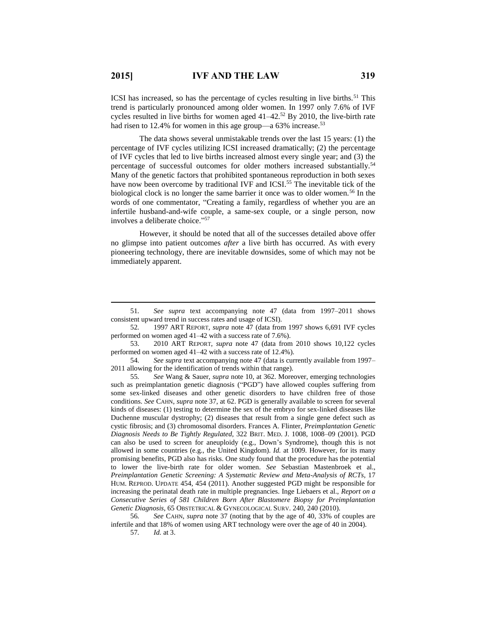$\overline{a}$ 

ICSI has increased, so has the percentage of cycles resulting in live births.<sup>51</sup> This trend is particularly pronounced among older women. In 1997 only 7.6% of IVF cycles resulted in live births for women aged  $41-42<sup>52</sup>$  By 2010, the live-birth rate had risen to 12.4% for women in this age group—a 63% increase.<sup>53</sup>

The data shows several unmistakable trends over the last 15 years: (1) the percentage of IVF cycles utilizing ICSI increased dramatically; (2) the percentage of IVF cycles that led to live births increased almost every single year; and (3) the percentage of successful outcomes for older mothers increased substantially.<sup>54</sup> Many of the genetic factors that prohibited spontaneous reproduction in both sexes have now been overcome by traditional IVF and ICSI.<sup>55</sup> The inevitable tick of the biological clock is no longer the same barrier it once was to older women.<sup>56</sup> In the words of one commentator, "Creating a family, regardless of whether you are an infertile husband-and-wife couple, a same-sex couple, or a single person, now involves a deliberate choice." 57

However, it should be noted that all of the successes detailed above offer no glimpse into patient outcomes *after* a live birth has occurred. As with every pioneering technology, there are inevitable downsides, some of which may not be immediately apparent.

<sup>51</sup>*. See supra* text accompanying note 47 (data from 1997–2011 shows consistent upward trend in success rates and usage of ICSI).

<sup>52</sup>*.* 1997 ART REPORT, *supra* note 47 (data from 1997 shows 6,691 IVF cycles performed on women aged 41–42 with a success rate of 7.6%).

<sup>53.</sup> 2010 ART REPORT, *supra* note 47 (data from 2010 shows 10,122 cycles performed on women aged 41–42 with a success rate of 12.4%).

<sup>54</sup>*. See supra* text accompanying note 47 (data is currently available from 1997– 2011 allowing for the identification of trends within that range).

<sup>55</sup>*. See* Wang & Sauer, *supra* note 10, at 362. Moreover, emerging technologies such as preimplantation genetic diagnosis ("PGD") have allowed couples suffering from some sex-linked diseases and other genetic disorders to have children free of those conditions. *See* CAHN, *supra* note 37, at 62. PGD is generally available to screen for several kinds of diseases: (1) testing to determine the sex of the embryo for sex-linked diseases like Duchenne muscular dystrophy; (2) diseases that result from a single gene defect such as cystic fibrosis; and (3) chromosomal disorders. Frances A. Flinter, *Preimplantation Genetic Diagnosis Needs to Be Tightly Regulated*, 322 BRIT. MED. J. 1008, 1008–09 (2001). PGD can also be used to screen for aneuploidy (e.g., Down's Syndrome), though this is not allowed in some countries (e.g., the United Kingdom). *Id.* at 1009. However, for its many promising benefits, PGD also has risks. One study found that the procedure has the potential to lower the live-birth rate for older women. *See* Sebastian Mastenbroek et al., *Preimplantation Genetic Screening: A Systematic Review and Meta-Analysis of RCTs*, 17 HUM. REPROD. UPDATE 454, 454 (2011). Another suggested PGD might be responsible for increasing the perinatal death rate in multiple pregnancies. Inge Liebaers et al., *Report on a Consecutive Series of 581 Children Born After Blastomere Biopsy for Preimplantation Genetic Diagnosis*, 65 OBSTETRICAL & GYNECOLOGICAL SURV. 240, 240 (2010).

<sup>56</sup>*. See* CAHN, *supra* note 37 (noting that by the age of 40, 33% of couples are infertile and that 18% of women using ART technology were over the age of 40 in 2004).

<sup>57</sup>*. Id.* at 3.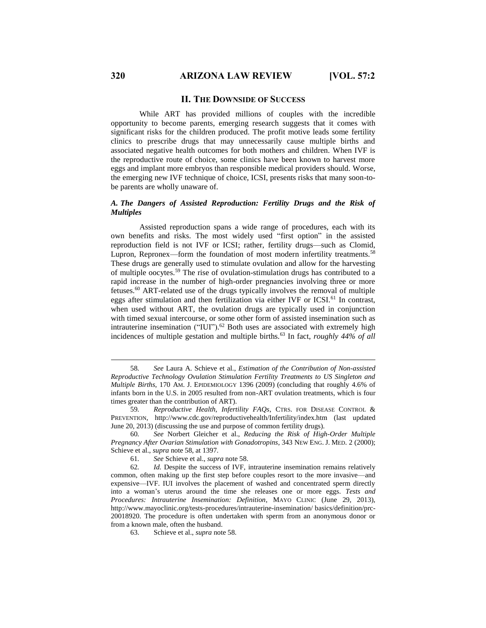#### **II. THE DOWNSIDE OF SUCCESS**

While ART has provided millions of couples with the incredible opportunity to become parents, emerging research suggests that it comes with significant risks for the children produced. The profit motive leads some fertility clinics to prescribe drugs that may unnecessarily cause multiple births and associated negative health outcomes for both mothers and children. When IVF is the reproductive route of choice, some clinics have been known to harvest more eggs and implant more embryos than responsible medical providers should. Worse, the emerging new IVF technique of choice, ICSI, presents risks that many soon-tobe parents are wholly unaware of.

#### *A. The Dangers of Assisted Reproduction: Fertility Drugs and the Risk of Multiples*

Assisted reproduction spans a wide range of procedures, each with its own benefits and risks. The most widely used "first option" in the assisted reproduction field is not IVF or ICSI; rather, fertility drugs—such as Clomid, Lupron, Repronex—form the foundation of most modern infertility treatments.<sup>58</sup> These drugs are generally used to stimulate ovulation and allow for the harvesting of multiple oocytes.<sup>59</sup> The rise of ovulation-stimulation drugs has contributed to a rapid increase in the number of high-order pregnancies involving three or more fetuses.<sup>60</sup> ART-related use of the drugs typically involves the removal of multiple eggs after stimulation and then fertilization via either IVF or ICSI.<sup>61</sup> In contrast, when used without ART, the ovulation drugs are typically used in conjunction with timed sexual intercourse, or some other form of assisted insemination such as intrauterine insemination ("IUI"). <sup>62</sup> Both uses are associated with extremely high incidences of multiple gestation and multiple births.<sup>63</sup> In fact, *roughly 44% of all* 

<sup>58</sup>*. See* Laura A. Schieve et al., *Estimation of the Contribution of Non-assisted Reproductive Technology Ovulation Stimulation Fertility Treatments to US Singleton and Multiple Births*, 170 AM. J. EPIDEMIOLOGY 1396 (2009) (concluding that roughly 4.6% of infants born in the U.S. in 2005 resulted from non-ART ovulation treatments, which is four times greater than the contribution of ART).

<sup>59</sup>*. Reproductive Health, Infertility FAQs*, CTRS. FOR DISEASE CONTROL & PREVENTION, http://www.cdc.gov/reproductivehealth/Infertility/index.htm (last updated June 20, 2013) (discussing the use and purpose of common fertility drugs).

<sup>60</sup>*. See* Norbert Gleicher et al., *Reducing the Risk of High-Order Multiple Pregnancy After Ovarian Stimulation with Gonadotropins*, 343 NEW ENG. J. MED. 2 (2000); Schieve et al., *supra* note 58, at 1397.

<sup>61</sup>*. See* Schieve et al., *supra* note 58.

<sup>62</sup>*. Id.* Despite the success of IVF, intrauterine insemination remains relatively common, often making up the first step before couples resort to the more invasive—and expensive—IVF. IUI involves the placement of washed and concentrated sperm directly into a woman's uterus around the time she releases one or more eggs. *Tests and Procedures: Intrauterine Insemination: Definition*, MAYO CLINIC (June 29, 2013), http://www.mayoclinic.org/tests-procedures/intrauterine-insemination/ basics/definition/prc-20018920. The procedure is often undertaken with sperm from an anonymous donor or from a known male, often the husband.

<sup>63.</sup> Schieve et al., *supra* note 58*.*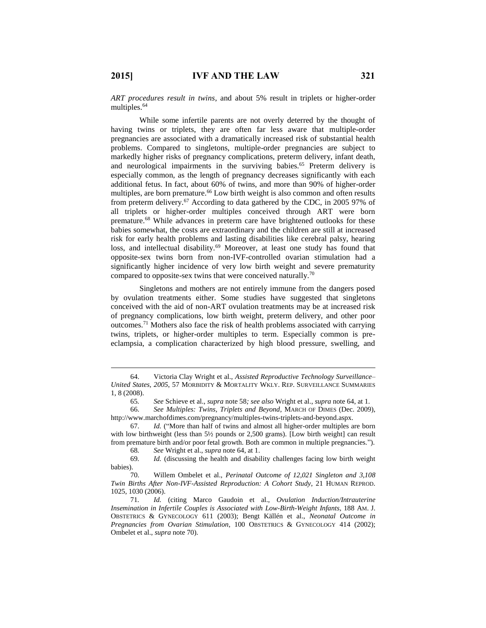$\overline{a}$ 

*ART procedures result in twins*, and about 5% result in triplets or higher-order multiples.<sup>64</sup>

While some infertile parents are not overly deterred by the thought of having twins or triplets, they are often far less aware that multiple-order pregnancies are associated with a dramatically increased risk of substantial health problems. Compared to singletons, multiple-order pregnancies are subject to markedly higher risks of pregnancy complications, preterm delivery, infant death, and neurological impairments in the surviving babies. <sup>65</sup> Preterm delivery is especially common, as the length of pregnancy decreases significantly with each additional fetus. In fact, about 60% of twins, and more than 90% of higher-order multiples, are born premature. <sup>66</sup> Low birth weight is also common and often results from preterm delivery.<sup>67</sup> According to data gathered by the CDC, in 2005 97% of all triplets or higher-order multiples conceived through ART were born premature.<sup>68</sup> While advances in preterm care have brightened outlooks for these babies somewhat, the costs are extraordinary and the children are still at increased risk for early health problems and lasting disabilities like cerebral palsy, hearing loss, and intellectual disability.<sup>69</sup> Moreover, at least one study has found that opposite-sex twins born from non-IVF-controlled ovarian stimulation had a significantly higher incidence of very low birth weight and severe prematurity compared to opposite-sex twins that were conceived naturally.<sup>70</sup>

Singletons and mothers are not entirely immune from the dangers posed by ovulation treatments either. Some studies have suggested that singletons conceived with the aid of non-ART ovulation treatments may be at increased risk of pregnancy complications, low birth weight, preterm delivery, and other poor outcomes.<sup>71</sup> Mothers also face the risk of health problems associated with carrying twins, triplets, or higher-order multiples to term. Especially common is preeclampsia, a complication characterized by high blood pressure, swelling, and

69*. Id.* (discussing the health and disability challenges facing low birth weight babies).

<sup>64.</sup> Victoria Clay Wright et al., *Assisted Reproductive Technology Surveillance– United States, 2005*, 57 MORBIDITY & MORTALITY WKLY. REP. SURVEILLANCE SUMMARIES 1, 8 (2008).

<sup>65</sup>*. See* Schieve et al., *supra* note 58*; see also* Wright et al., *supra* note 64, at 1.

<sup>66.</sup> *See Multiples: Twins, Triplets and Beyond*, MARCH OF DIMES (Dec. 2009), http://www.marchofdimes.com/pregnancy/multiples-twins-triplets-and-beyond.aspx.

<sup>67.</sup> *Id.* ("More than half of twins and almost all higher-order multiples are born with low birthweight (less than 5½ pounds or 2,500 grams). [Low birth weight] can result from premature birth and/or poor fetal growth. Both are common in multiple pregnancies.").<br>68. See Wright et al., *supra* note 64, at 1.

<sup>68</sup>*. See* Wright et al., *supra* note 64, at 1.

<sup>70.</sup> Willem Ombelet et al., *Perinatal Outcome of 12,021 Singleton and 3,108 Twin Births After Non-IVF-Assisted Reproduction: A Cohort Study*, 21 HUMAN REPROD. 1025, 1030 (2006).

<sup>71</sup>*. Id.* (citing Marco Gaudoin et al., *Ovulation Induction/Intrauterine Insemination in Infertile Couples is Associated with Low-Birth-Weight Infants*, 188 AM. J. OBSTETRICS & GYNECOLOGY 611 (2003); Bengt Källén et al., *Neonatal Outcome in Pregnancies from Ovarian Stimulation*, 100 OBSTETRICS & GYNECOLOGY 414 (2002); Ombelet et al., *supra* note 70).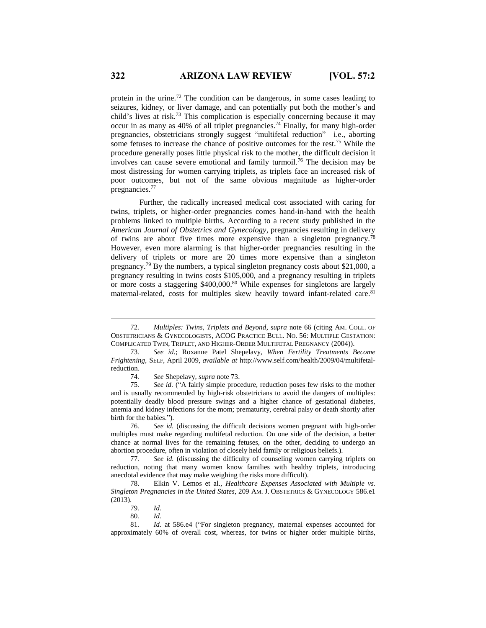protein in the urine.<sup>72</sup> The condition can be dangerous, in some cases leading to seizures, kidney, or liver damage, and can potentially put both the mother's and child's lives at risk.<sup>73</sup> This complication is especially concerning because it may occur in as many as 40% of all triplet pregnancies.<sup>74</sup> Finally, for many high-order pregnancies, obstetricians strongly suggest "multifetal reduction"—i.e., aborting some fetuses to increase the chance of positive outcomes for the rest.<sup>75</sup> While the procedure generally poses little physical risk to the mother, the difficult decision it involves can cause severe emotional and family turmoil.<sup>76</sup> The decision may be most distressing for women carrying triplets, as triplets face an increased risk of poor outcomes, but not of the same obvious magnitude as higher-order pregnancies.<sup>77</sup>

Further, the radically increased medical cost associated with caring for twins, triplets, or higher-order pregnancies comes hand-in-hand with the health problems linked to multiple births. According to a recent study published in the *American Journal of Obstetrics and Gynecology*, pregnancies resulting in delivery of twins are about five times more expensive than a singleton pregnancy.<sup>78</sup> However, even more alarming is that higher-order pregnancies resulting in the delivery of triplets or more are 20 times more expensive than a singleton pregnancy.<sup>79</sup> By the numbers, a typical singleton pregnancy costs about \$21,000, a pregnancy resulting in twins costs \$105,000, and a pregnancy resulting in triplets or more costs a staggering \$400,000.<sup>80</sup> While expenses for singletons are largely maternal-related, costs for multiples skew heavily toward infant-related care.<sup>81</sup>

<sup>72</sup>*. Multiples: Twins, Triplets and Beyond*, *supra* note 66 (citing AM. COLL. OF OBSTETRICIANS & GYNECOLOGISTS, ACOG PRACTICE BULL. NO. 56: MULTIPLE GESTATION: COMPLICATED TWIN, TRIPLET, AND HIGHER-ORDER MULTIFETAL PREGNANCY (2004)).

<sup>73</sup>*. See id.*; Roxanne Patel Shepelavy, *When Fertility Treatments Become Frightening*, SELF, April 2009, *available at* http://www.self.com/health/2009/04/multifetalreduction.

<sup>74</sup>*. See* Shepelavy, *supra* note 73.

<sup>75</sup>*. See id.* ("A fairly simple procedure, reduction poses few risks to the mother and is usually recommended by high-risk obstetricians to avoid the dangers of multiples: potentially deadly blood pressure swings and a higher chance of gestational diabetes, anemia and kidney infections for the mom; prematurity, cerebral palsy or death shortly after birth for the babies.").

<sup>76</sup>*. See id.* (discussing the difficult decisions women pregnant with high-order multiples must make regarding multifetal reduction. On one side of the decision, a better chance at normal lives for the remaining fetuses, on the other, deciding to undergo an abortion procedure, often in violation of closely held family or religious beliefs.).

<sup>77</sup>*. See id.* (discussing the difficulty of counseling women carrying triplets on reduction, noting that many women know families with healthy triplets, introducing anecdotal evidence that may make weighing the risks more difficult).

<sup>78.</sup> Elkin V. Lemos et al., *Healthcare Expenses Associated with Multiple vs. Singleton Pregnancies in the United States*, 209 AM. J. OBSTETRICS & GYNECOLOGY 586.e1 (2013).

<sup>79</sup>*. Id.*

<sup>80</sup>*. Id.*

<sup>81</sup>*. Id.* at 586.e4 ("For singleton pregnancy, maternal expenses accounted for approximately 60% of overall cost, whereas, for twins or higher order multiple births,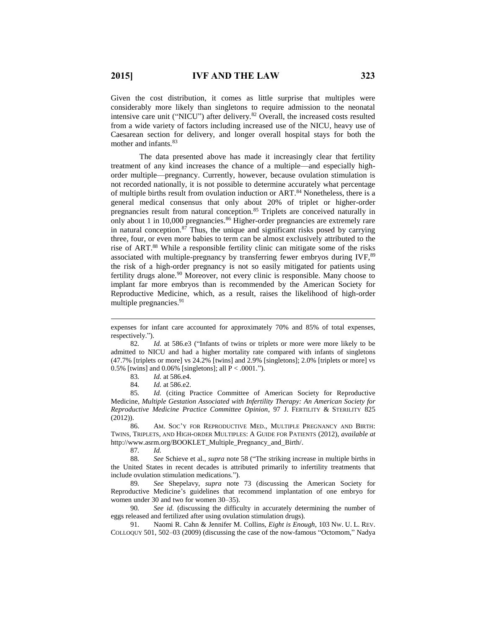Given the cost distribution, it comes as little surprise that multiples were considerably more likely than singletons to require admission to the neonatal intensive care unit ("NICU") after delivery.<sup>82</sup> Overall, the increased costs resulted from a wide variety of factors including increased use of the NICU, heavy use of Caesarean section for delivery, and longer overall hospital stays for both the mother and infants.<sup>83</sup>

The data presented above has made it increasingly clear that fertility treatment of any kind increases the chance of a multiple—and especially highorder multiple—pregnancy. Currently, however, because ovulation stimulation is not recorded nationally, it is not possible to determine accurately what percentage of multiple births result from ovulation induction or ART.<sup>84</sup> Nonetheless, there is a general medical consensus that only about 20% of triplet or higher-order pregnancies result from natural conception.<sup>85</sup> Triplets are conceived naturally in only about 1 in 10,000 pregnancies.<sup>86</sup> Higher-order pregnancies are extremely rare in natural conception. $87$  Thus, the unique and significant risks posed by carrying three, four, or even more babies to term can be almost exclusively attributed to the rise of ART. <sup>88</sup> While a responsible fertility clinic can mitigate some of the risks associated with multiple-pregnancy by transferring fewer embryos during IVF, $89$ the risk of a high-order pregnancy is not so easily mitigated for patients using fertility drugs alone.<sup>90</sup> Moreover, not every clinic is responsible. Many choose to implant far more embryos than is recommended by the American Society for Reproductive Medicine, which, as a result, raises the likelihood of high-order multiple pregnancies. 91

82*. Id.* at 586.e3 ("Infants of twins or triplets or more were more likely to be admitted to NICU and had a higher mortality rate compared with infants of singletons (47.7% [triplets or more] vs 24.2% [twins] and 2.9% [singletons]; 2.0% [triplets or more] vs 0.5% [twins] and 0.06% [singletons]; all  $P < .0001$ .").

83*. Id.* at 586.e4.

84*. Id.* at 586.e2.

85*. Id.* (citing Practice Committee of American Society for Reproductive Medicine, *Multiple Gestation Associated with Infertility Therapy: An American Society for Reproductive Medicine Practice Committee Opinion*, 97 J. FERTILITY & STERILITY 825 (2012)).

86. AM. SOC'Y FOR REPRODUCTIVE MED., MULTIPLE PREGNANCY AND BIRTH: TWINS, TRIPLETS, AND HIGH-ORDER MULTIPLES: A GUIDE FOR PATIENTS (2012), *available at*  http://www.asrm.org/BOOKLET\_Multiple\_Pregnancy\_and\_Birth/.

87*. Id.*

 $\overline{a}$ 

88*. See* Schieve et al., *supra* note 58 ("The striking increase in multiple births in the United States in recent decades is attributed primarily to infertility treatments that include ovulation stimulation medications.").

89*. See* Shepelavy, *supra* note 73 (discussing the American Society for Reproductive Medicine's guidelines that recommend implantation of one embryo for women under 30 and two for women 30–35).

90*. See id.* (discussing the difficulty in accurately determining the number of eggs released and fertilized after using ovulation stimulation drugs).

91. Naomi R. Cahn & Jennifer M. Collins, *Eight is Enough*, 103 NW. U. L. REV. COLLOQUY 501, 502–03 (2009) (discussing the case of the now-famous "Octomom," Nadya

expenses for infant care accounted for approximately 70% and 85% of total expenses, respectively.").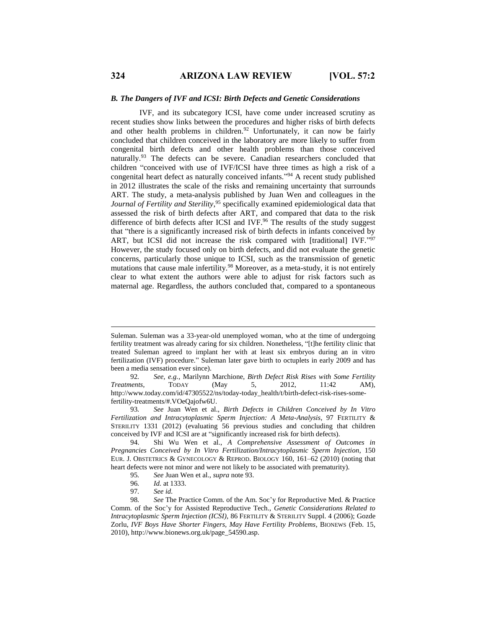#### *B. The Dangers of IVF and ICSI: Birth Defects and Genetic Considerations*

IVF, and its subcategory ICSI, have come under increased scrutiny as recent studies show links between the procedures and higher risks of birth defects and other health problems in children.<sup>92</sup> Unfortunately, it can now be fairly concluded that children conceived in the laboratory are more likely to suffer from congenital birth defects and other health problems than those conceived naturally.<sup>93</sup> The defects can be severe. Canadian researchers concluded that children "conceived with use of IVF/ICSI have three times as high a risk of a congenital heart defect as naturally conceived infants." <sup>94</sup> A recent study published in 2012 illustrates the scale of the risks and remaining uncertainty that surrounds ART. The study, a meta-analysis published by Juan Wen and colleagues in the *Journal of Fertility and Sterility*, <sup>95</sup> specifically examined epidemiological data that assessed the risk of birth defects after ART, and compared that data to the risk difference of birth defects after ICSI and IVF.<sup>96</sup> The results of the study suggest that "there is a significantly increased risk of birth defects in infants conceived by ART, but ICSI did not increase the risk compared with [traditional] IVF."97 However, the study focused only on birth defects, and did not evaluate the genetic concerns, particularly those unique to ICSI, such as the transmission of genetic mutations that cause male infertility.<sup>98</sup> Moreover, as a meta-study, it is not entirely clear to what extent the authors were able to adjust for risk factors such as maternal age. Regardless, the authors concluded that, compared to a spontaneous

Suleman. Suleman was a 33-year-old unemployed woman, who at the time of undergoing fertility treatment was already caring for six children. Nonetheless, "[t]he fertility clinic that treated Suleman agreed to implant her with at least six embryos during an in vitro fertilization (IVF) procedure." Suleman later gave birth to octuplets in early 2009 and has been a media sensation ever since).

<sup>92</sup>*. See, e.g.*, Marilynn Marchione, *Birth Defect Risk Rises with Some Fertility Treatments*, TODAY (May 5, 2012, 11:42 AM), http://www.today.com/id/47305522/ns/today-today\_health/t/birth-defect-risk-rises-somefertility-treatments/#.VOeQajofw6U.

<sup>93</sup>*. See* Juan Wen et al., *Birth Defects in Children Conceived by In Vitro Fertilization and Intracytoplasmic Sperm Injection: A Meta-Analysis*, 97 FERTILITY & STERILITY 1331 (2012) (evaluating 56 previous studies and concluding that children conceived by IVF and ICSI are at "significantly increased risk for birth defects).

<sup>94.</sup> Shi Wu Wen et al., *A Comprehensive Assessment of Outcomes in Pregnancies Conceived by In Vitro Fertilization/Intracytoplasmic Sperm Injection*, 150 EUR. J. OBSTETRICS & GYNECOLOGY & REPROD. BIOLOGY 160, 161–62 (2010) (noting that heart defects were not minor and were not likely to be associated with prematurity).

<sup>95</sup>*. See* Juan Wen et al., *supra* note 93.

<sup>96</sup>*. Id.* at 1333.

<sup>97</sup>*. See id.*

<sup>98</sup>*. See* The Practice Comm. of the Am. Soc'y for Reproductive Med. & Practice Comm. of the Soc'y for Assisted Reproductive Tech., *Genetic Considerations Related to Intracytoplasmic Sperm Injection (ICSI)*, 86 FERTILITY & STERILITY Suppl. 4 (2006); Gozde Zorlu, *IVF Boys Have Shorter Fingers, May Have Fertility Problems*, BIONEWS (Feb. 15, 2010), http://www.bionews.org.uk/page\_54590.asp.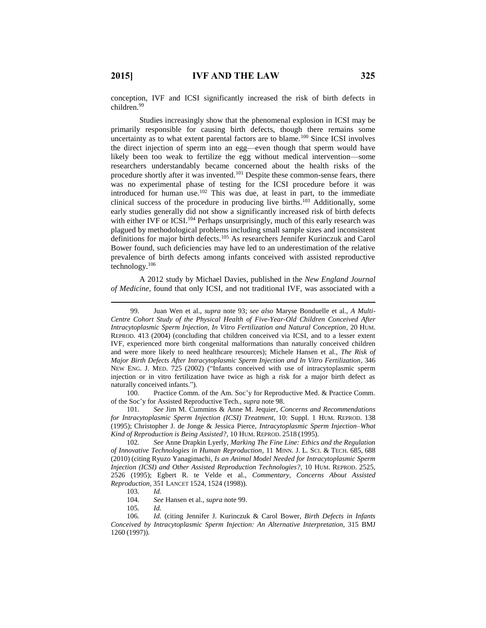$\overline{a}$ 

conception, IVF and ICSI significantly increased the risk of birth defects in children. 99

Studies increasingly show that the phenomenal explosion in ICSI may be primarily responsible for causing birth defects, though there remains some uncertainty as to what extent parental factors are to blame.<sup>100</sup> Since ICSI involves the direct injection of sperm into an egg—even though that sperm would have likely been too weak to fertilize the egg without medical intervention—some researchers understandably became concerned about the health risks of the procedure shortly after it was invented.<sup>101</sup> Despite these common-sense fears, there was no experimental phase of testing for the ICSI procedure before it was introduced for human use.<sup>102</sup> This was due, at least in part, to the immediate clinical success of the procedure in producing live births. <sup>103</sup> Additionally, some early studies generally did not show a significantly increased risk of birth defects with either IVF or ICSI.<sup>104</sup> Perhaps unsurprisingly, much of this early research was plagued by methodological problems including small sample sizes and inconsistent definitions for major birth defects.<sup>105</sup> As researchers Jennifer Kurinczuk and Carol Bower found, such deficiencies may have led to an underestimation of the relative prevalence of birth defects among infants conceived with assisted reproductive technology.<sup>106</sup>

A 2012 study by Michael Davies, published in the *New England Journal of Medicine*, found that only ICSI, and not traditional IVF, was associated with a

100. Practice Comm. of the Am. Soc'y for Reproductive Med. & Practice Comm. of the Soc'y for Assisted Reproductive Tech., *supra* note 98.

105*. Id.*

<sup>99.</sup> Juan Wen et al., *supra* note 93; *see also* Maryse Bonduelle et al., *A Multi-Centre Cohort Study of the Physical Health of Five-Year-Old Children Conceived After Intracytoplasmic Sperm Injection, In Vitro Fertilization and Natural Conception*, 20 HUM. REPROD. 413 (2004) (concluding that children conceived via ICSI, and to a lesser extent IVF, experienced more birth congenital malformations than naturally conceived children and were more likely to need healthcare resources); Michele Hansen et al., *The Risk of Major Birth Defects After Intracytoplasmic Sperm Injection and In Vitro Fertilization*, 346 NEW ENG. J. MED. 725 (2002) ("Infants conceived with use of intracytoplasmic sperm injection or in vitro fertilization have twice as high a risk for a major birth defect as naturally conceived infants.").

<sup>101</sup>*. See* Jim M. Cummins & Anne M. Jequier, *Concerns and Recommendations for Intracytoplasmic Sperm Injection (ICSI) Treatment*, 10: Suppl. 1 HUM. REPROD. 138 (1995); Christopher J. de Jonge & Jessica Pierce, *Intracytoplasmic Sperm Injection–What Kind of Reproduction is Being Assisted?*, 10 HUM. REPROD. 2518 (1995).

<sup>102</sup>*. See* Anne Drapkin Lyerly, *Marking The Fine Line: Ethics and the Regulation of Innovative Technologies in Human Reproduction*, 11 MINN. J. L. SCI. & TECH. 685, 688 (2010) (citing Ryuzo Yanagimachi, *Is an Animal Model Needed for Intracytoplasmic Sperm Injection (ICSI) and Other Assisted Reproduction Technologies?*, 10 HUM. REPROD. 2525, 2526 (1995); Egbert R. te Velde et al., *Commentary, Concerns About Assisted Reproduction*, 351 LANCET 1524, 1524 (1998)).

<sup>103.</sup> *Id.*

<sup>104</sup>*. See* Hansen et al., *supra* note 99.

<sup>106</sup>*. Id.* (citing Jennifer J. Kurinczuk & Carol Bower, *Birth Defects in Infants Conceived by Intracytoplasmic Sperm Injection: An Alternative Interpretation*, 315 BMJ 1260 (1997)).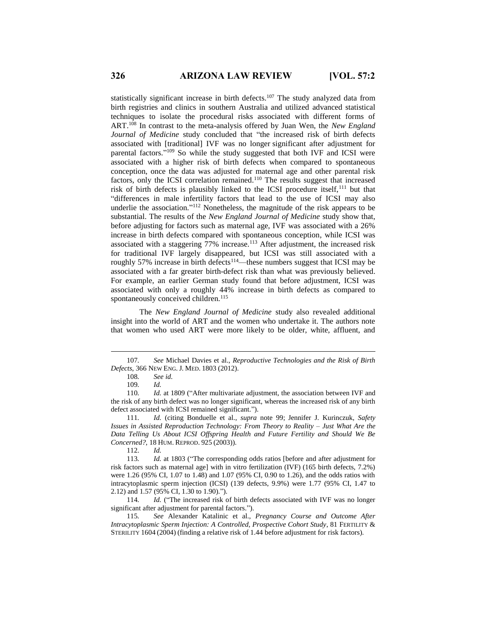statistically significant increase in birth defects.<sup>107</sup> The study analyzed data from birth registries and clinics in southern Australia and utilized advanced statistical techniques to isolate the procedural risks associated with different forms of ART.<sup>108</sup> In contrast to the meta-analysis offered by Juan Wen, the *New England Journal of Medicine* study concluded that "the increased risk of birth defects associated with [traditional] IVF was no longer significant after adjustment for parental factors."<sup>109</sup> So while the study suggested that both IVF and ICSI were associated with a higher risk of birth defects when compared to spontaneous conception, once the data was adjusted for maternal age and other parental risk factors, only the ICSI correlation remained.<sup>110</sup> The results suggest that increased risk of birth defects is plausibly linked to the ICSI procedure itself,<sup>111</sup> but that "differences in male infertility factors that lead to the use of ICSI may also underlie the association." <sup>112</sup> Nonetheless, the magnitude of the risk appears to be substantial. The results of the *New England Journal of Medicine* study show that, before adjusting for factors such as maternal age, IVF was associated with a 26% increase in birth defects compared with spontaneous conception, while ICSI was associated with a staggering 77% increase.<sup>113</sup> After adjustment, the increased risk for traditional IVF largely disappeared, but ICSI was still associated with a roughly 57% increase in birth defects<sup>114</sup>—these numbers suggest that ICSI may be associated with a far greater birth-defect risk than what was previously believed. For example, an earlier German study found that before adjustment, ICSI was associated with only a roughly 44% increase in birth defects as compared to spontaneously conceived children.<sup>115</sup>

The *New England Journal of Medicine* study also revealed additional insight into the world of ART and the women who undertake it. The authors note that women who used ART were more likely to be older, white, affluent, and

 $\overline{a}$ 

114. *Id.* ("The increased risk of birth defects associated with IVF was no longer significant after adjustment for parental factors.").

115*. See* Alexander Katalinic et al., *Pregnancy Course and Outcome After Intracytoplasmic Sperm Injection: A Controlled, Prospective Cohort Study*, 81 FERTILITY & STERILITY 1604 (2004) (finding a relative risk of 1.44 before adjustment for risk factors).

<sup>107</sup>*. See* Michael Davies et al., *Reproductive Technologies and the Risk of Birth Defects*, 366 NEW ENG. J. MED. 1803 (2012).

<sup>108</sup>*. See id.*

<sup>109</sup>*. Id.*

<sup>110</sup>*. Id.* at 1809 ("After multivariate adjustment, the association between IVF and the risk of any birth defect was no longer significant, whereas the increased risk of any birth defect associated with ICSI remained significant.").

<sup>111</sup>*. Id.* (citing Bonduelle et al., *supra* note 99; Jennifer J. Kurinczuk, *Safety Issues in Assisted Reproduction Technology: From Theory to Reality – Just What Are the Data Telling Us About ICSI Offspring Health and Future Fertility and Should We Be Concerned?*, 18 HUM. REPROD. 925 (2003)).

<sup>112.</sup> *Id.*

<sup>113</sup>*. Id.* at 1803 ("The corresponding odds ratios [before and after adjustment for risk factors such as maternal age] with in vitro fertilization (IVF) (165 birth defects, 7.2%) were 1.26 (95% CI, 1.07 to 1.48) and 1.07 (95% CI, 0.90 to 1.26), and the odds ratios with intracytoplasmic sperm injection (ICSI) (139 defects, 9.9%) were 1.77 (95% CI, 1.47 to 2.12) and 1.57 (95% CI, 1.30 to 1.90).").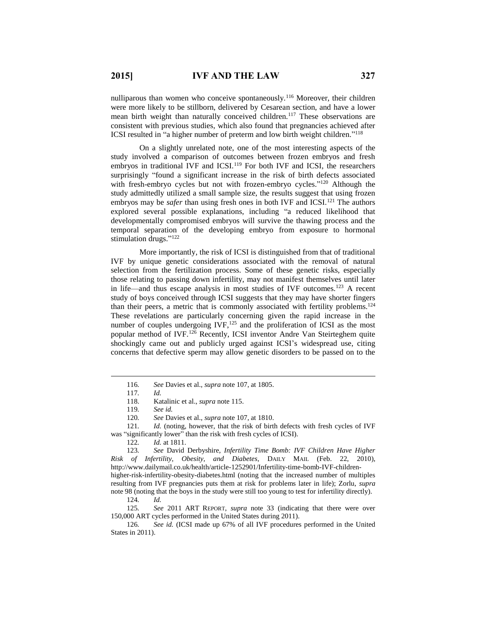nulliparous than women who conceive spontaneously.<sup>116</sup> Moreover, their children were more likely to be stillborn, delivered by Cesarean section, and have a lower mean birth weight than naturally conceived children.<sup>117</sup> These observations are consistent with previous studies, which also found that pregnancies achieved after ICSI resulted in "a higher number of preterm and low birth weight children." 118

On a slightly unrelated note, one of the most interesting aspects of the study involved a comparison of outcomes between frozen embryos and fresh embryos in traditional IVF and ICSI.<sup>119</sup> For both IVF and ICSI, the researchers surprisingly "found a significant increase in the risk of birth defects associated with fresh-embryo cycles but not with frozen-embryo cycles."<sup>120</sup> Although the study admittedly utilized a small sample size, the results suggest that using frozen embryos may be *safer* than using fresh ones in both IVF and ICSI.<sup>121</sup> The authors explored several possible explanations, including "a reduced likelihood that developmentally compromised embryos will survive the thawing process and the temporal separation of the developing embryo from exposure to hormonal stimulation drugs."<sup>122</sup>

More importantly, the risk of ICSI is distinguished from that of traditional IVF by unique genetic considerations associated with the removal of natural selection from the fertilization process. Some of these genetic risks, especially those relating to passing down infertility, may not manifest themselves until later in life—and thus escape analysis in most studies of IVF outcomes.<sup>123</sup> A recent study of boys conceived through ICSI suggests that they may have shorter fingers than their peers, a metric that is commonly associated with fertility problems.<sup>124</sup> These revelations are particularly concerning given the rapid increase in the number of couples undergoing  $IVF$ ,  $^{125}$  and the proliferation of ICSI as the most popular method of IVF.<sup>126</sup> Recently, ICSI inventor Andre Van Steirteghem quite shockingly came out and publicly urged against ICSI's widespread use, citing concerns that defective sperm may allow genetic disorders to be passed on to the

<sup>116</sup>*. See* Davies et al., *supra* note 107, at 1805.

<sup>117</sup>*. Id.*

<sup>118.</sup> Katalinic et al., *supra* note 115.

<sup>119</sup>*. See id.*

<sup>120</sup>*. See* Davies et al., *supra* note 107, at 1810.

<sup>121.</sup> *Id.* (noting, however, that the risk of birth defects with fresh cycles of IVF was "significantly lower" than the risk with fresh cycles of ICSI).

<sup>122</sup>*. Id.* at 1811.

<sup>123</sup>*. See* David Derbyshire, *Infertility Time Bomb: IVF Children Have Higher Risk of Infertility, Obesity, and Diabetes*, DAILY MAIL (Feb. 22, 2010), http://www.dailymail.co.uk/health/article-1252901/Infertility-time-bomb-IVF-childrenhigher-risk-infertility-obesity-diabetes.html (noting that the increased number of multiples resulting from IVF pregnancies puts them at risk for problems later in life); Zorlu, *supra*  note 98 (noting that the boys in the study were still too young to test for infertility directly).

<sup>124</sup>*. Id.*

<sup>125</sup>*. See* 2011 ART REPORT, *supra* note 33 (indicating that there were over 150,000 ART cycles performed in the United States during 2011).

<sup>126</sup>*. See id.* (ICSI made up 67% of all IVF procedures performed in the United States in 2011).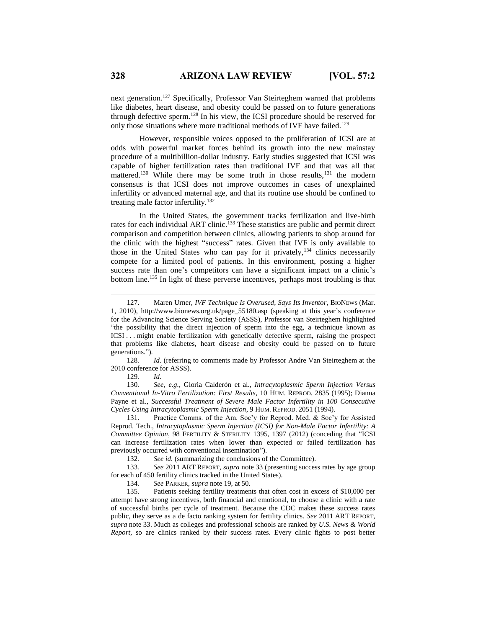next generation.<sup>127</sup> Specifically, Professor Van Steirteghem warned that problems like diabetes, heart disease, and obesity could be passed on to future generations through defective sperm.<sup>128</sup> In his view, the ICSI procedure should be reserved for only those situations where more traditional methods of IVF have failed.<sup>129</sup>

However, responsible voices opposed to the proliferation of ICSI are at odds with powerful market forces behind its growth into the new mainstay procedure of a multibillion-dollar industry. Early studies suggested that ICSI was capable of higher fertilization rates than traditional IVF and that was all that mattered.<sup>130</sup> While there may be some truth in those results,<sup>131</sup> the modern consensus is that ICSI does not improve outcomes in cases of unexplained infertility or advanced maternal age, and that its routine use should be confined to treating male factor infertility.<sup>132</sup>

In the United States, the government tracks fertilization and live-birth rates for each individual ART clinic.<sup>133</sup> These statistics are public and permit direct comparison and competition between clinics, allowing patients to shop around for the clinic with the highest "success" rates. Given that IVF is only available to those in the United States who can pay for it privately,<sup>134</sup> clinics necessarily compete for a limited pool of patients. In this environment, posting a higher success rate than one's competitors can have a significant impact on a clinic's bottom line.<sup>135</sup> In light of these perverse incentives, perhaps most troubling is that

128*. Id.* (referring to comments made by Professor Andre Van Steirteghem at the 2010 conference for ASSS).

129*. Id.*

 $\overline{a}$ 

130*. See, e.g.*, Gloria Calderón et al., *Intracytoplasmic Sperm Injection Versus Conventional In-Vitro Fertilization: First Results*, 10 HUM. REPROD. 2835 (1995); Dianna Payne et al., *Successful Treatment of Severe Male Factor Infertility in 100 Consecutive Cycles Using Intracytoplasmic Sperm Injection*, 9 HUM. REPROD. 2051 (1994).

131. Practice Comms. of the Am. Soc'y for Reprod. Med. & Soc'y for Assisted Reprod. Tech., *Intracytoplasmic Sperm Injection (ICSI) for Non-Male Factor Infertility: A Committee Opinion*, 98 FERTILITY & STERILITY 1395, 1397 (2012) (conceding that "ICSI can increase fertilization rates when lower than expected or failed fertilization has previously occurred with conventional insemination").

132*. See id.* (summarizing the conclusions of the Committee).

133*. See* 2011 ART REPORT, *supra* note 33 (presenting success rates by age group for each of 450 fertility clinics tracked in the United States).

134*. See* PARKER, *supra* note 19, at 50.

135. Patients seeking fertility treatments that often cost in excess of \$10,000 per attempt have strong incentives, both financial and emotional, to choose a clinic with a rate of successful births per cycle of treatment. Because the CDC makes these success rates public, they serve as a de facto ranking system for fertility clinics. *See* 2011 ART REPORT, *supra* note 33. Much as colleges and professional schools are ranked by *U.S. News & World Report*, so are clinics ranked by their success rates. Every clinic fights to post better

<sup>127.</sup> Maren Urner, *IVF Technique Is Overused, Says Its Inventor*, BIONEWS (Mar. 1, 2010), http://www.bionews.org.uk/page\_55180.asp (speaking at this year's conference for the Advancing Science Serving Society (ASSS), Professor van Steirteghem highlighted "the possibility that the direct injection of sperm into the egg, a technique known as ICSI . . . might enable fertilization with genetically defective sperm, raising the prospect that problems like diabetes, heart disease and obesity could be passed on to future generations.").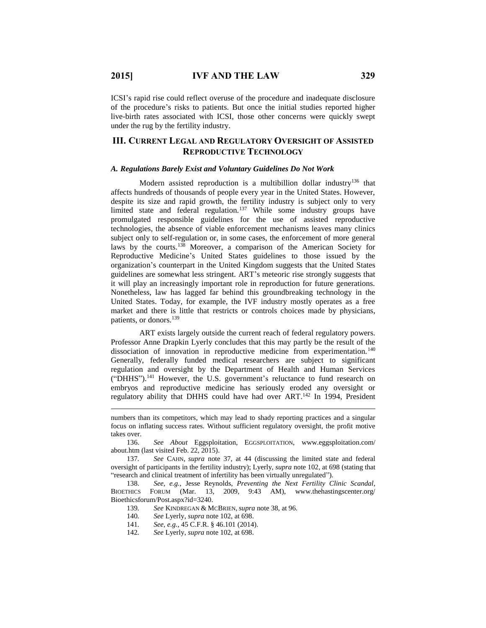$\overline{a}$ 

ICSI's rapid rise could reflect overuse of the procedure and inadequate disclosure of the procedure's risks to patients. But once the initial studies reported higher live-birth rates associated with ICSI, those other concerns were quickly swept under the rug by the fertility industry.

### **III. CURRENT LEGAL AND REGULATORY OVERSIGHT OF ASSISTED REPRODUCTIVE TECHNOLOGY**

#### *A. Regulations Barely Exist and Voluntary Guidelines Do Not Work*

Modern assisted reproduction is a multibillion dollar industry<sup>136</sup> that affects hundreds of thousands of people every year in the United States. However, despite its size and rapid growth, the fertility industry is subject only to very limited state and federal regulation.<sup>137</sup> While some industry groups have promulgated responsible guidelines for the use of assisted reproductive technologies, the absence of viable enforcement mechanisms leaves many clinics subject only to self-regulation or, in some cases, the enforcement of more general laws by the courts.<sup>138</sup> Moreover, a comparison of the American Society for Reproductive Medicine's United States guidelines to those issued by the organization's counterpart in the United Kingdom suggests that the United States guidelines are somewhat less stringent. ART's meteoric rise strongly suggests that it will play an increasingly important role in reproduction for future generations. Nonetheless, law has lagged far behind this groundbreaking technology in the United States. Today, for example, the IVF industry mostly operates as a free market and there is little that restricts or controls choices made by physicians, patients, or donors.<sup>139</sup>

ART exists largely outside the current reach of federal regulatory powers. Professor Anne Drapkin Lyerly concludes that this may partly be the result of the dissociation of innovation in reproductive medicine from experimentation.<sup>140</sup> Generally, federally funded medical researchers are subject to significant regulation and oversight by the Department of Health and Human Services ("DHHS").<sup>141</sup> However, the U.S. government's reluctance to fund research on embryos and reproductive medicine has seriously eroded any oversight or regulatory ability that DHHS could have had over ART.<sup>142</sup> In 1994, President

- 139*. See* KINDREGAN & MCBRIEN, *supra* note 38, at 96.
- 140*. See* Lyerly, *supra* note 102, at 698.
- 141*. See, e.g.*, 45 C.F.R. § 46.101 (2014).
- 142*. See* Lyerly, *supra* note 102, at 698.

numbers than its competitors, which may lead to shady reporting practices and a singular focus on inflating success rates. Without sufficient regulatory oversight, the profit motive takes over.

<sup>136.</sup> *See About* Eggsploitation, EGGSPLOITATION, www.eggsploitation.com/ about.htm (last visited Feb. 22, 2015).

<sup>137</sup>*. See* CAHN, *supra* note 37, at 44 (discussing the limited state and federal oversight of participants in the fertility industry); Lyerly, *supra* note 102, at 698 (stating that "research and clinical treatment of infertility has been virtually unregulated").

<sup>138.</sup> *See, e.g.*, Jesse Reynolds, *Preventing the Next Fertility Clinic Scandal*, BIOETHICS FORUM (Mar. 13, 2009, 9:43 AM), www.thehastingscenter.org/ Bioethicsforum/Post.aspx?id=3240.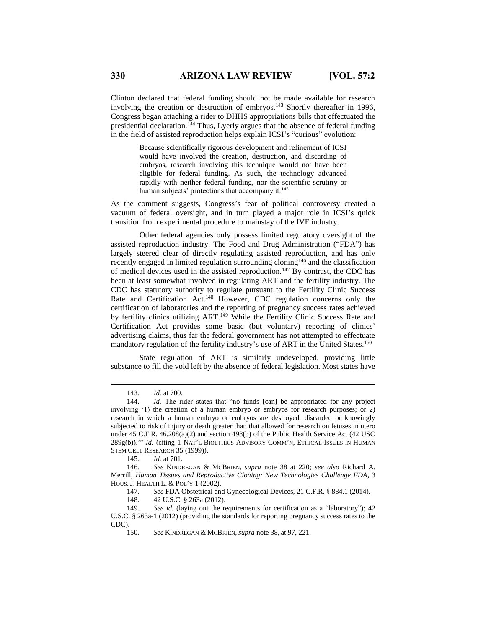Clinton declared that federal funding should not be made available for research involving the creation or destruction of embryos.<sup>143</sup> Shortly thereafter in 1996, Congress began attaching a rider to DHHS appropriations bills that effectuated the presidential declaration.<sup>144</sup> Thus, Lyerly argues that the absence of federal funding in the field of assisted reproduction helps explain ICSI's "curious" evolution:

> Because scientifically rigorous development and refinement of ICSI would have involved the creation, destruction, and discarding of embryos, research involving this technique would not have been eligible for federal funding. As such, the technology advanced rapidly with neither federal funding, nor the scientific scrutiny or human subjects' protections that accompany it.<sup>145</sup>

As the comment suggests, Congress's fear of political controversy created a vacuum of federal oversight, and in turn played a major role in ICSI's quick transition from experimental procedure to mainstay of the IVF industry.

Other federal agencies only possess limited regulatory oversight of the assisted reproduction industry. The Food and Drug Administration ("FDA") has largely steered clear of directly regulating assisted reproduction, and has only recently engaged in limited regulation surrounding cloning<sup>146</sup> and the classification of medical devices used in the assisted reproduction.<sup>147</sup> By contrast, the CDC has been at least somewhat involved in regulating ART and the fertility industry. The CDC has statutory authority to regulate pursuant to the Fertility Clinic Success Rate and Certification Act.<sup>148</sup> However, CDC regulation concerns only the certification of laboratories and the reporting of pregnancy success rates achieved by fertility clinics utilizing ART.<sup>149</sup> While the Fertility Clinic Success Rate and Certification Act provides some basic (but voluntary) reporting of clinics' advertising claims, thus far the federal government has not attempted to effectuate mandatory regulation of the fertility industry's use of ART in the United States.<sup>150</sup>

State regulation of ART is similarly undeveloped, providing little substance to fill the void left by the absence of federal legislation. Most states have

<sup>143</sup>*. Id.* at 700.

<sup>144.</sup> *Id.* The rider states that "no funds [can] be appropriated for any project involving '1) the creation of a human embryo or embryos for research purposes; or 2) research in which a human embryo or embryos are destroyed, discarded or knowingly subjected to risk of injury or death greater than that allowed for research on fetuses in utero under 45 C.F.R. 46.208(a)(2) and section 498(b) of the Public Health Service Act (42 USC 289g(b)).'" *Id.* (citing 1 NAT'L BIOETHICS ADVISORY COMM'N, ETHICAL ISSUES IN HUMAN STEM CELL RESEARCH 35 (1999)).

<sup>145</sup>*. Id.* at 701.

<sup>146</sup>*. See* KINDREGAN & MCBRIEN, *supra* note 38 at 220; *see also* Richard A. Merrill, *Human Tissues and Reproductive Cloning: New Technologies Challenge FDA*, 3 HOUS. J. HEALTH L. & POL'Y 1 (2002).

<sup>147</sup>*. See* FDA Obstetrical and Gynecological Devices, 21 C.F.R. § 884.1 (2014).

<sup>148.</sup> 42 U.S.C. § 263a (2012).

<sup>149</sup>*. See id.* (laying out the requirements for certification as a "laboratory"); 42 U.S.C. § 263a-1 (2012) (providing the standards for reporting pregnancy success rates to the CDC).

<sup>150</sup>*. See* KINDREGAN & MCBRIEN, *supra* note 38, at 97, 221.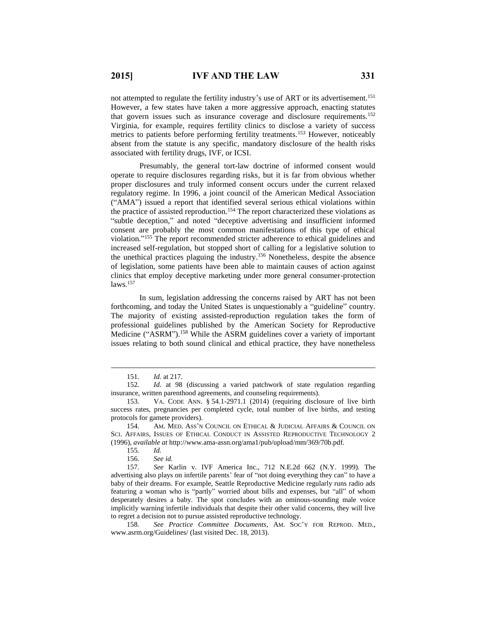not attempted to regulate the fertility industry's use of ART or its advertisement.<sup>151</sup> However, a few states have taken a more aggressive approach, enacting statutes that govern issues such as insurance coverage and disclosure requirements.<sup>152</sup> Virginia, for example, requires fertility clinics to disclose a variety of success metrics to patients before performing fertility treatments.<sup>153</sup> However, noticeably absent from the statute is any specific, mandatory disclosure of the health risks associated with fertility drugs, IVF, or ICSI.

Presumably, the general tort-law doctrine of informed consent would operate to require disclosures regarding risks, but it is far from obvious whether proper disclosures and truly informed consent occurs under the current relaxed regulatory regime. In 1996, a joint council of the American Medical Association ("AMA") issued a report that identified several serious ethical violations within the practice of assisted reproduction.<sup>154</sup> The report characterized these violations as "subtle deception," and noted "deceptive advertising and insufficient informed consent are probably the most common manifestations of this type of ethical violation." <sup>155</sup> The report recommended stricter adherence to ethical guidelines and increased self-regulation, but stopped short of calling for a legislative solution to the unethical practices plaguing the industry. <sup>156</sup> Nonetheless, despite the absence of legislation, some patients have been able to maintain causes of action against clinics that employ deceptive marketing under more general consumer-protection  $laws.<sup>157</sup>$ 

In sum, legislation addressing the concerns raised by ART has not been forthcoming, and today the United States is unquestionably a "guideline" country. The majority of existing assisted-reproduction regulation takes the form of professional guidelines published by the American Society for Reproductive Medicine ("ASRM").<sup>158</sup> While the ASRM guidelines cover a variety of important issues relating to both sound clinical and ethical practice, they have nonetheless

<sup>151</sup>*. Id.* at 217.

<sup>152</sup>*. Id.* at 98 (discussing a varied patchwork of state regulation regarding insurance, written parenthood agreements, and counseling requirements).

<sup>153.</sup> VA. CODE ANN. § 54.1-2971.1 (2014) (requiring disclosure of live birth success rates, pregnancies per completed cycle, total number of live births, and testing protocols for gamete providers).

<sup>154.</sup> AM. MED. ASS'N COUNCIL ON ETHICAL & JUDICIAL AFFAIRS & COUNCIL ON SCI. AFFAIRS, ISSUES OF ETHICAL CONDUCT IN ASSISTED REPRODUCTIVE TECHNOLOGY 2 (1996), *available at* http://www.ama-assn.org/ama1/pub/upload/mm/369/70b.pdf.

<sup>155</sup>*. Id.*

<sup>156.</sup> *See id.*

<sup>157</sup>*. See* Karlin v. IVF America Inc., 712 N.E.2d 662 (N.Y. 1999). The advertising also plays on infertile parents' fear of "not doing everything they can" to have a baby of their dreams. For example, Seattle Reproductive Medicine regularly runs radio ads featuring a woman who is "partly" worried about bills and expenses, but "all" of whom desperately desires a baby. The spot concludes with an ominous-sounding male voice implicitly warning infertile individuals that despite their other valid concerns, they will live to regret a decision not to pursue assisted reproductive technology.

<sup>158.</sup> *See Practice Committee Documents*, AM. SOC'Y FOR REPROD. MED., www.asrm.org/Guidelines/ (last visited Dec. 18, 2013).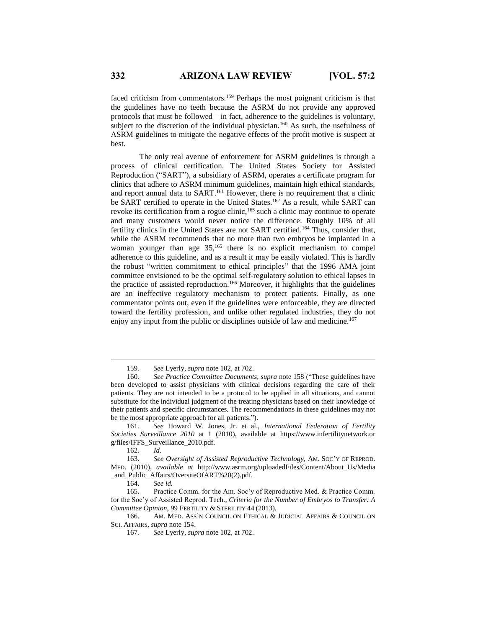faced criticism from commentators.<sup>159</sup> Perhaps the most poignant criticism is that the guidelines have no teeth because the ASRM do not provide any approved protocols that must be followed—in fact, adherence to the guidelines is voluntary, subject to the discretion of the individual physician.<sup>160</sup> As such, the usefulness of ASRM guidelines to mitigate the negative effects of the profit motive is suspect at best.

The only real avenue of enforcement for ASRM guidelines is through a process of clinical certification. The United States Society for Assisted Reproduction ("SART"), a subsidiary of ASRM, operates a certificate program for clinics that adhere to ASRM minimum guidelines, maintain high ethical standards, and report annual data to SART.<sup>161</sup> However, there is no requirement that a clinic be SART certified to operate in the United States.<sup>162</sup> As a result, while SART can revoke its certification from a rogue clinic,<sup>163</sup> such a clinic may continue to operate and many customers would never notice the difference. Roughly 10% of all fertility clinics in the United States are not SART certified.<sup>164</sup> Thus, consider that, while the ASRM recommends that no more than two embryos be implanted in a woman younger than age 35,<sup>165</sup> there is no explicit mechanism to compel adherence to this guideline, and as a result it may be easily violated. This is hardly the robust "written commitment to ethical principles" that the 1996 AMA joint committee envisioned to be the optimal self-regulatory solution to ethical lapses in the practice of assisted reproduction.<sup>166</sup> Moreover, it highlights that the guidelines are an ineffective regulatory mechanism to protect patients. Finally, as one commentator points out, even if the guidelines were enforceable, they are directed toward the fertility profession, and unlike other regulated industries, they do not enjoy any input from the public or disciplines outside of law and medicine.<sup>167</sup>

161*. See* Howard W. Jones, Jr. et al., *International Federation of Fertility Societies Surveillance 2010* at 1 (2010), available at https://www.infertilitynetwork.or g/files/IFFS\_Surveillance\_2010.pdf.

 $\overline{a}$ 

164. *See id.*

165. Practice Comm. for the Am. Soc'y of Reproductive Med. & Practice Comm. for the Soc'y of Assisted Reprod. Tech., *Criteria for the Number of Embryos to Transfer: A Committee Opinion*, 99 FERTILITY & STERILITY 44 (2013).

166. AM. MED. ASS'N COUNCIL ON ETHICAL & JUDICIAL AFFAIRS & COUNCIL ON SCI. AFFAIRS, *supra* note 154.

167*. See* Lyerly, *supra* note 102, at 702.

<sup>159</sup>*. See* Lyerly, *supra* note 102, at 702.

<sup>160</sup>*. See Practice Committee Documents*, *supra* note 158 ("These guidelines have been developed to assist physicians with clinical decisions regarding the care of their patients. They are not intended to be a protocol to be applied in all situations, and cannot substitute for the individual judgment of the treating physicians based on their knowledge of their patients and specific circumstances. The recommendations in these guidelines may not be the most appropriate approach for all patients.").

<sup>162</sup>*. Id.*

<sup>163.</sup> *See Oversight of Assisted Reproductive Technology*, AM. SOC'Y OF REPROD. MED. (2010), *available at* http://www.asrm.org/uploadedFiles/Content/About\_Us/Media \_and\_Public\_Affairs/OversiteOfART%20(2).pdf.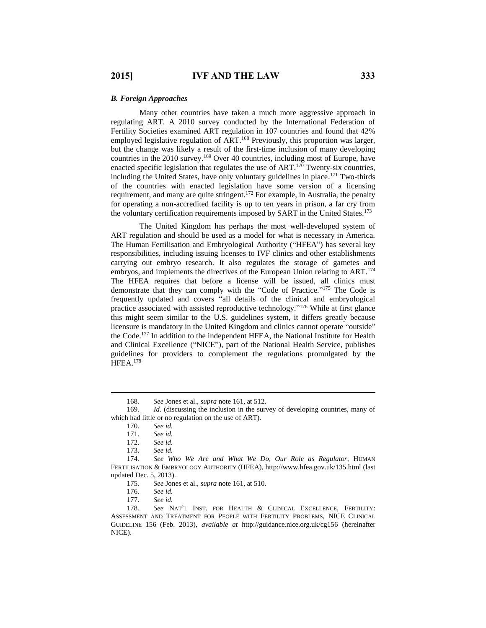#### *B. Foreign Approaches*

Many other countries have taken a much more aggressive approach in regulating ART. A 2010 survey conducted by the International Federation of Fertility Societies examined ART regulation in 107 countries and found that 42% employed legislative regulation of ART.<sup>168</sup> Previously, this proportion was larger, but the change was likely a result of the first-time inclusion of many developing countries in the 2010 survey. <sup>169</sup> Over 40 countries, including most of Europe, have enacted specific legislation that regulates the use of  $ART$ .<sup>170</sup> Twenty-six countries, including the United States, have only voluntary guidelines in place. <sup>171</sup> Two-thirds of the countries with enacted legislation have some version of a licensing requirement, and many are quite stringent.<sup>172</sup> For example, in Australia, the penalty for operating a non-accredited facility is up to ten years in prison, a far cry from the voluntary certification requirements imposed by SART in the United States.<sup>173</sup>

The United Kingdom has perhaps the most well-developed system of ART regulation and should be used as a model for what is necessary in America. The Human Fertilisation and Embryological Authority ("HFEA") has several key responsibilities, including issuing licenses to IVF clinics and other establishments carrying out embryo research. It also regulates the storage of gametes and embryos, and implements the directives of the European Union relating to ART.<sup>174</sup> The HFEA requires that before a license will be issued, all clinics must demonstrate that they can comply with the "Code of Practice." <sup>175</sup> The Code is frequently updated and covers "all details of the clinical and embryological practice associated with assisted reproductive technology."<sup>176</sup> While at first glance this might seem similar to the U.S. guidelines system, it differs greatly because licensure is mandatory in the United Kingdom and clinics cannot operate "outside" the Code.<sup>177</sup> In addition to the independent HFEA, the National Institute for Health and Clinical Excellence ("NICE"), part of the National Health Service, publishes guidelines for providers to complement the regulations promulgated by the HFEA.<sup>178</sup>

<sup>168</sup>*. See* Jones et al., *supra* note 161, at 512.

<sup>169.</sup> *Id.* (discussing the inclusion in the survey of developing countries, many of which had little or no regulation on the use of ART).

<sup>170.</sup> *See id.*

<sup>171.</sup> *See id.*

<sup>172.</sup> *See id.*

See id.

<sup>174</sup>*. See Who We Are and What We Do, Our Role as Regulator*, HUMAN FERTILISATION & EMBRYOLOGY AUTHORITY (HFEA), http://www.hfea.gov.uk/135.html (last updated Dec. 5, 2013).

<sup>175</sup>*. See* Jones et al., *supra* note 161, at 510.

<sup>176.</sup> *See id.*

<sup>177.</sup> *See id.*

<sup>178</sup>*. See* NAT'L INST. FOR HEALTH & CLINICAL EXCELLENCE, FERTILITY: ASSESSMENT AND TREATMENT FOR PEOPLE WITH FERTILITY PROBLEMS, NICE CLINICAL GUIDELINE 156 (Feb. 2013), *available at* http://guidance.nice.org.uk/cg156 (hereinafter NICE).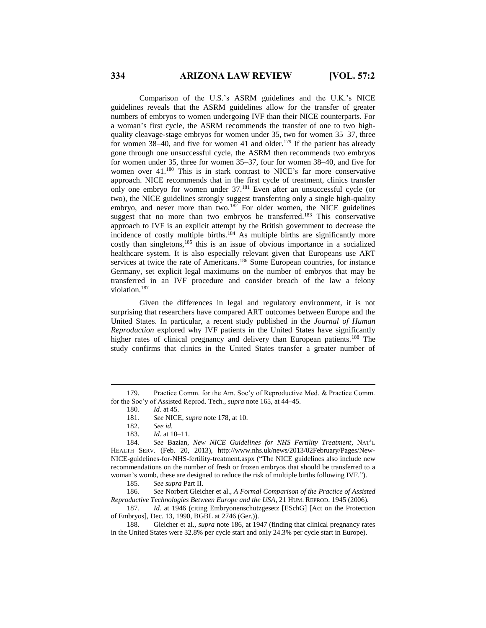Comparison of the U.S.'s ASRM guidelines and the U.K.'s NICE guidelines reveals that the ASRM guidelines allow for the transfer of greater numbers of embryos to women undergoing IVF than their NICE counterparts. For a woman's first cycle, the ASRM recommends the transfer of one to two highquality cleavage-stage embryos for women under 35, two for women 35–37, three for women 38–40, and five for women 41 and older.<sup>179</sup> If the patient has already gone through one unsuccessful cycle, the ASRM then recommends two embryos for women under 35, three for women 35–37, four for women 38–40, and five for women over 41.<sup>180</sup> This is in stark contrast to NICE's far more conservative approach. NICE recommends that in the first cycle of treatment, clinics transfer only one embryo for women under 37.<sup>181</sup> Even after an unsuccessful cycle (or two), the NICE guidelines strongly suggest transferring only a single high-quality embryo, and never more than two.<sup>182</sup> For older women, the NICE guidelines suggest that no more than two embryos be transferred.<sup>183</sup> This conservative approach to IVF is an explicit attempt by the British government to decrease the incidence of costly multiple births.<sup>184</sup> As multiple births are significantly more costly than singletons,<sup>185</sup> this is an issue of obvious importance in a socialized healthcare system. It is also especially relevant given that Europeans use ART services at twice the rate of Americans.<sup>186</sup> Some European countries, for instance Germany, set explicit legal maximums on the number of embryos that may be transferred in an IVF procedure and consider breach of the law a felony violation.<sup>187</sup>

Given the differences in legal and regulatory environment, it is not surprising that researchers have compared ART outcomes between Europe and the United States. In particular, a recent study published in the *Journal of Human Reproduction* explored why IVF patients in the United States have significantly higher rates of clinical pregnancy and delivery than European patients.<sup>188</sup> The study confirms that clinics in the United States transfer a greater number of

 $\overline{a}$ 

186*. See* Norbert Gleicher et al., *A Formal Comparison of the Practice of Assisted Reproductive Technologies Between Europe and the USA*, 21 HUM. REPROD. 1945 (2006).

187*. Id.* at 1946 (citing Embryonenschutzgesetz [ESchG] [Act on the Protection of Embryos], Dec. 13, 1990, BGBL at 2746 (Ger.)).

<sup>179.</sup> Practice Comm. for the Am. Soc'y of Reproductive Med. & Practice Comm. for the Soc'y of Assisted Reprod. Tech*.*, *supra* note 165, at 44–45.

<sup>180</sup>*. Id.* at 45.

<sup>181</sup>*. See* NICE, *supra* note 178, at 10.

<sup>182.</sup> *See id.*

<sup>183.</sup> *Id.* at 10–11.

<sup>184</sup>*. See* Bazian, *New NICE Guidelines for NHS Fertility Treatment*, NAT'L HEALTH SERV. (Feb. 20, 2013), http://www.nhs.uk/news/2013/02February/Pages/New-NICE-guidelines-for-NHS-fertility-treatment.aspx ("The NICE guidelines also include new recommendations on the number of fresh or frozen embryos that should be transferred to a woman's womb, these are designed to reduce the risk of multiple births following IVF.").

<sup>185</sup>*. See supra* Part II.

<sup>188.</sup> Gleicher et al., *supra* note 186, at 1947 (finding that clinical pregnancy rates in the United States were 32.8% per cycle start and only 24.3% per cycle start in Europe).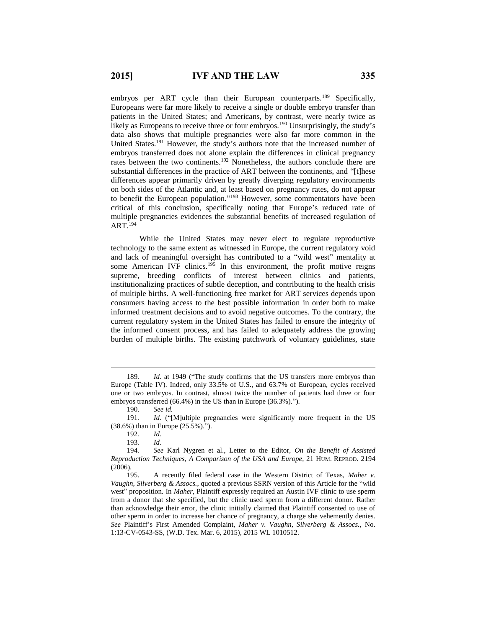embryos per ART cycle than their European counterparts.<sup>189</sup> Specifically, Europeans were far more likely to receive a single or double embryo transfer than patients in the United States; and Americans, by contrast, were nearly twice as likely as Europeans to receive three or four embryos.<sup>190</sup> Unsurprisingly, the study's data also shows that multiple pregnancies were also far more common in the United States.<sup>191</sup> However, the study's authors note that the increased number of embryos transferred does not alone explain the differences in clinical pregnancy rates between the two continents.<sup>192</sup> Nonetheless, the authors conclude there are substantial differences in the practice of ART between the continents, and "[t]hese differences appear primarily driven by greatly diverging regulatory environments on both sides of the Atlantic and, at least based on pregnancy rates, do not appear to benefit the European population."<sup>193</sup> However, some commentators have been critical of this conclusion, specifically noting that Europe's reduced rate of multiple pregnancies evidences the substantial benefits of increased regulation of ART.<sup>194</sup>

While the United States may never elect to regulate reproductive technology to the same extent as witnessed in Europe, the current regulatory void and lack of meaningful oversight has contributed to a "wild west" mentality at some American IVF clinics.<sup>195</sup> In this environment, the profit motive reigns supreme, breeding conflicts of interest between clinics and patients, institutionalizing practices of subtle deception, and contributing to the health crisis of multiple births. A well-functioning free market for ART services depends upon consumers having access to the best possible information in order both to make informed treatment decisions and to avoid negative outcomes. To the contrary, the current regulatory system in the United States has failed to ensure the integrity of the informed consent process, and has failed to adequately address the growing burden of multiple births. The existing patchwork of voluntary guidelines, state

<sup>189</sup>*. Id.* at 1949 ("The study confirms that the US transfers more embryos than Europe (Table IV). Indeed, only 33.5% of U.S., and 63.7% of European, cycles received one or two embryos. In contrast, almost twice the number of patients had three or four embryos transferred (66.4%) in the US than in Europe (36.3%).").

<sup>190.</sup> *See id.*

<sup>191</sup>*. Id.* ("[M]ultiple pregnancies were significantly more frequent in the US (38.6%) than in Europe (25.5%).").

<sup>192</sup>*. Id.*

<sup>193</sup>*. Id.*

<sup>194</sup>*. See* Karl Nygren et al., Letter to the Editor, *On the Benefit of Assisted Reproduction Techniques*, *A Comparison of the USA and Europe*, 21 HUM. REPROD. 2194 (2006).

<sup>195.</sup> A recently filed federal case in the Western District of Texas, *Maher v. Vaughn, Silverberg & Assocs.*, quoted a previous SSRN version of this Article for the "wild west" proposition. In *Maher*, Plaintiff expressly required an Austin IVF clinic to use sperm from a donor that she specified, but the clinic used sperm from a different donor. Rather than acknowledge their error, the clinic initially claimed that Plaintiff consented to use of other sperm in order to increase her chance of pregnancy, a charge she vehemently denies. *See* Plaintiff's First Amended Complaint, *Maher v. Vaughn, Silverberg & Assocs.*, No. 1:13-CV-0543-SS, (W.D. Tex. Mar. 6, 2015), 2015 WL 1010512.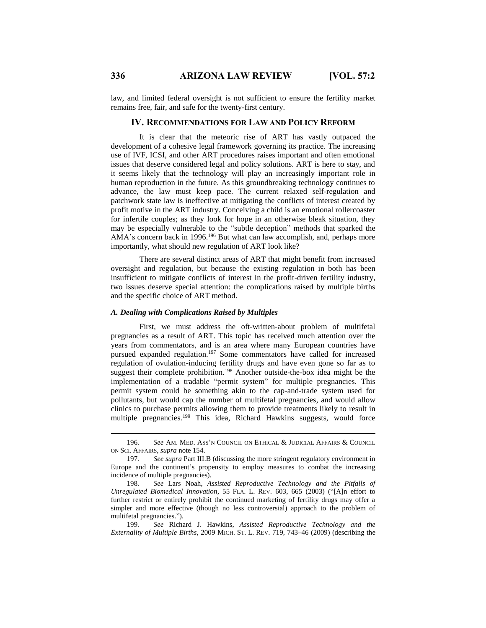law, and limited federal oversight is not sufficient to ensure the fertility market remains free, fair, and safe for the twenty-first century.

#### **IV. RECOMMENDATIONS FOR LAW AND POLICY REFORM**

It is clear that the meteoric rise of ART has vastly outpaced the development of a cohesive legal framework governing its practice. The increasing use of IVF, ICSI, and other ART procedures raises important and often emotional issues that deserve considered legal and policy solutions. ART is here to stay, and it seems likely that the technology will play an increasingly important role in human reproduction in the future. As this groundbreaking technology continues to advance, the law must keep pace. The current relaxed self-regulation and patchwork state law is ineffective at mitigating the conflicts of interest created by profit motive in the ART industry. Conceiving a child is an emotional rollercoaster for infertile couples; as they look for hope in an otherwise bleak situation, they may be especially vulnerable to the "subtle deception" methods that sparked the AMA's concern back in 1996.<sup>196</sup> But what can law accomplish, and, perhaps more importantly, what should new regulation of ART look like?

There are several distinct areas of ART that might benefit from increased oversight and regulation, but because the existing regulation in both has been insufficient to mitigate conflicts of interest in the profit-driven fertility industry, two issues deserve special attention: the complications raised by multiple births and the specific choice of ART method.

#### *A. Dealing with Complications Raised by Multiples*

First, we must address the oft-written-about problem of multifetal pregnancies as a result of ART. This topic has received much attention over the years from commentators, and is an area where many European countries have pursued expanded regulation.<sup>197</sup> Some commentators have called for increased regulation of ovulation-inducing fertility drugs and have even gone so far as to suggest their complete prohibition.<sup>198</sup> Another outside-the-box idea might be the implementation of a tradable "permit system" for multiple pregnancies. This permit system could be something akin to the cap-and-trade system used for pollutants, but would cap the number of multifetal pregnancies, and would allow clinics to purchase permits allowing them to provide treatments likely to result in multiple pregnancies.<sup>199</sup> This idea, Richard Hawkins suggests, would force

<sup>196</sup>*. See* AM. MED. ASS'N COUNCIL ON ETHICAL & JUDICIAL AFFAIRS & COUNCIL ON SCI. AFFAIRS, *supra* note 154.

<sup>197</sup>*. See supra* Part III.B (discussing the more stringent regulatory environment in Europe and the continent's propensity to employ measures to combat the increasing incidence of multiple pregnancies).

<sup>198</sup>*. See* Lars Noah, *Assisted Reproductive Technology and the Pitfalls of Unregulated Biomedical Innovation*, 55 FLA. L. REV. 603, 665 (2003) ("[A]n effort to further restrict or entirely prohibit the continued marketing of fertility drugs may offer a simpler and more effective (though no less controversial) approach to the problem of multifetal pregnancies.").

<sup>199</sup>*. See* Richard J. Hawkins, *Assisted Reproductive Technology and the Externality of Multiple Births*, 2009 MICH. ST. L. REV. 719, 743–46 (2009) (describing the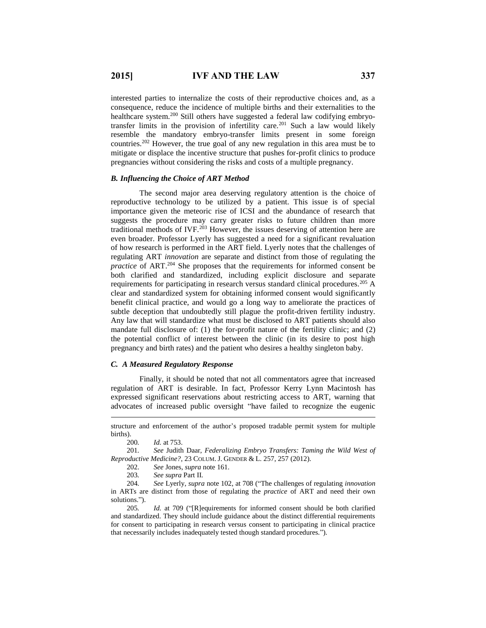interested parties to internalize the costs of their reproductive choices and, as a consequence, reduce the incidence of multiple births and their externalities to the healthcare system.<sup>200</sup> Still others have suggested a federal law codifying embryotransfer limits in the provision of infertility care.<sup>201</sup> Such a law would likely resemble the mandatory embryo-transfer limits present in some foreign countries.<sup>202</sup> However, the true goal of any new regulation in this area must be to mitigate or displace the incentive structure that pushes for-profit clinics to produce pregnancies without considering the risks and costs of a multiple pregnancy.

#### *B. Influencing the Choice of ART Method*

The second major area deserving regulatory attention is the choice of reproductive technology to be utilized by a patient. This issue is of special importance given the meteoric rise of ICSI and the abundance of research that suggests the procedure may carry greater risks to future children than more traditional methods of IVF.<sup>203</sup> However, the issues deserving of attention here are even broader. Professor Lyerly has suggested a need for a significant revaluation of how research is performed in the ART field. Lyerly notes that the challenges of regulating ART *innovation* are separate and distinct from those of regulating the *practice* of ART.<sup>204</sup> She proposes that the requirements for informed consent be both clarified and standardized, including explicit disclosure and separate requirements for participating in research versus standard clinical procedures.<sup>205</sup> A clear and standardized system for obtaining informed consent would significantly benefit clinical practice, and would go a long way to ameliorate the practices of subtle deception that undoubtedly still plague the profit-driven fertility industry. Any law that will standardize what must be disclosed to ART patients should also mandate full disclosure of: (1) the for-profit nature of the fertility clinic; and (2) the potential conflict of interest between the clinic (in its desire to post high pregnancy and birth rates) and the patient who desires a healthy singleton baby.

#### *C. A Measured Regulatory Response*

Finally, it should be noted that not all commentators agree that increased regulation of ART is desirable. In fact, Professor Kerry Lynn Macintosh has expressed significant reservations about restricting access to ART, warning that advocates of increased public oversight "have failed to recognize the eugenic

200*. Id.* at 753.

 $\overline{a}$ 

201*. See* Judith Daar, *Federalizing Embryo Transfers: Taming the Wild West of Reproductive Medicine?*, 23 COLUM. J. GENDER & L. 257, 257 (2012).

202. *See* Jones, *supra* note 161.

203*. See supra* Part II*.*

204*. See* Lyerly, *supra* note 102, at 708 ("The challenges of regulating *innovation* in ARTs are distinct from those of regulating the *practice* of ART and need their own solutions.").

205*. Id.* at 709 ("[R]equirements for informed consent should be both clarified and standardized. They should include guidance about the distinct differential requirements for consent to participating in research versus consent to participating in clinical practice that necessarily includes inadequately tested though standard procedures.").

structure and enforcement of the author's proposed tradable permit system for multiple births).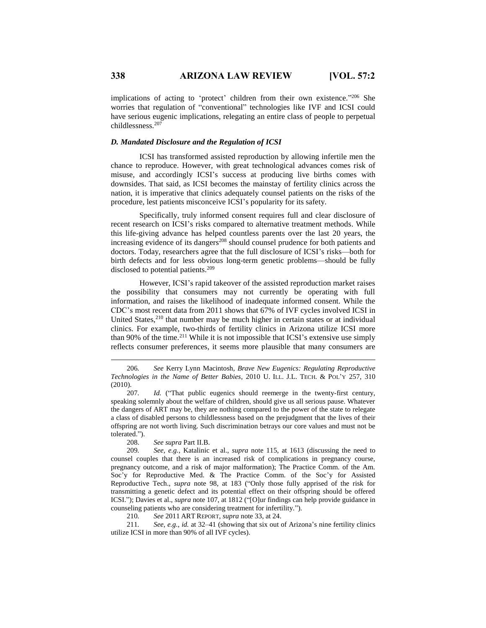implications of acting to 'protect' children from their own existence."206 She worries that regulation of "conventional" technologies like IVF and ICSI could have serious eugenic implications, relegating an entire class of people to perpetual childlessness.<sup>207</sup>

#### *D. Mandated Disclosure and the Regulation of ICSI*

ICSI has transformed assisted reproduction by allowing infertile men the chance to reproduce. However, with great technological advances comes risk of misuse, and accordingly ICSI's success at producing live births comes with downsides. That said, as ICSI becomes the mainstay of fertility clinics across the nation, it is imperative that clinics adequately counsel patients on the risks of the procedure, lest patients misconceive ICSI's popularity for its safety.

Specifically, truly informed consent requires full and clear disclosure of recent research on ICSI's risks compared to alternative treatment methods. While this life-giving advance has helped countless parents over the last 20 years, the increasing evidence of its dangers<sup>208</sup> should counsel prudence for both patients and doctors. Today, researchers agree that the full disclosure of ICSI's risks—both for birth defects and for less obvious long-term genetic problems—should be fully disclosed to potential patients.<sup>209</sup>

However, ICSI's rapid takeover of the assisted reproduction market raises the possibility that consumers may not currently be operating with full information, and raises the likelihood of inadequate informed consent. While the CDC's most recent data from 2011 shows that 67% of IVF cycles involved ICSI in United States,<sup>210</sup> that number may be much higher in certain states or at individual clinics. For example, two-thirds of fertility clinics in Arizona utilize ICSI more than 90% of the time.<sup>211</sup> While it is not impossible that ICSI's extensive use simply reflects consumer preferences, it seems more plausible that many consumers are

207*. Id.* ("That public eugenics should reemerge in the twenty-first century, speaking solemnly about the welfare of children, should give us all serious pause. Whatever the dangers of ART may be, they are nothing compared to the power of the state to relegate a class of disabled persons to childlessness based on the prejudgment that the lives of their offspring are not worth living. Such discrimination betrays our core values and must not be tolerated.").

208. *See supra* Part II.B.

209*. See, e.g.*, Katalinic et al., *supra* note 115, at 1613 (discussing the need to counsel couples that there is an increased risk of complications in pregnancy course, pregnancy outcome, and a risk of major malformation); The Practice Comm. of the Am. Soc'y for Reproductive Med. & The Practice Comm. of the Soc'y for Assisted Reproductive Tech., *supra* note 98, at 183 ("Only those fully apprised of the risk for transmitting a genetic defect and its potential effect on their offspring should be offered ICSI."); Davies et al., *supra* note 107, at 1812 ("[O]ur findings can help provide guidance in counseling patients who are considering treatment for infertility.").

210*. See* 2011 ART REPORT, *supra* note 33, at 24.

211*. See*, *e.g.*, *id.* at 32–41 (showing that six out of Arizona's nine fertility clinics utilize ICSI in more than 90% of all IVF cycles).

<sup>206</sup>*. See* Kerry Lynn Macintosh, *Brave New Eugenics: Regulating Reproductive Technologies in the Name of Better Babies*, 2010 U. ILL. J.L. TECH. & POL'Y 257, 310 (2010).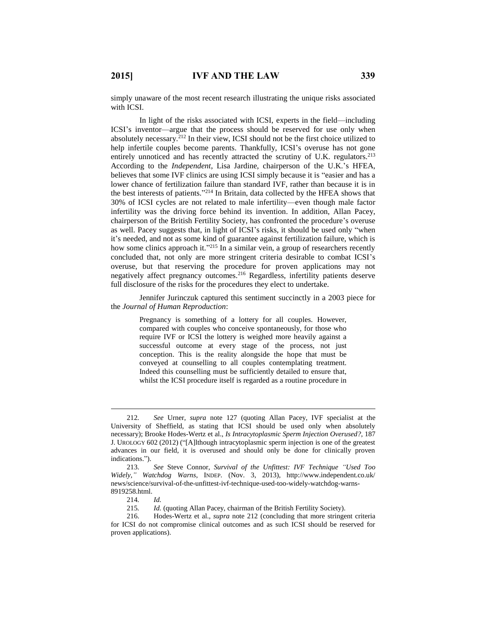simply unaware of the most recent research illustrating the unique risks associated with ICSI.

In light of the risks associated with ICSI, experts in the field—including ICSI's inventor—argue that the process should be reserved for use only when absolutely necessary.<sup>212</sup> In their view, ICSI should not be the first choice utilized to help infertile couples become parents. Thankfully, ICSI's overuse has not gone entirely unnoticed and has recently attracted the scrutiny of U.K. regulators.<sup>213</sup> According to the *Independent*, Lisa Jardine, chairperson of the U.K.'s HFEA, believes that some IVF clinics are using ICSI simply because it is "easier and has a lower chance of fertilization failure than standard IVF, rather than because it is in the best interests of patients." <sup>214</sup> In Britain, data collected by the HFEA shows that 30% of ICSI cycles are not related to male infertility—even though male factor infertility was the driving force behind its invention. In addition, Allan Pacey, chairperson of the British Fertility Society, has confronted the procedure's overuse as well. Pacey suggests that, in light of ICSI's risks, it should be used only "when it's needed, and not as some kind of guarantee against fertilization failure, which is how some clinics approach it."<sup>215</sup> In a similar vein, a group of researchers recently concluded that, not only are more stringent criteria desirable to combat ICSI's overuse, but that reserving the procedure for proven applications may not negatively affect pregnancy outcomes.<sup>216</sup> Regardless, infertility patients deserve full disclosure of the risks for the procedures they elect to undertake.

Jennifer Jurinczuk captured this sentiment succinctly in a 2003 piece for the *Journal of Human Reproduction*:

> Pregnancy is something of a lottery for all couples. However, compared with couples who conceive spontaneously, for those who require IVF or ICSI the lottery is weighed more heavily against a successful outcome at every stage of the process, not just conception. This is the reality alongside the hope that must be conveyed at counselling to all couples contemplating treatment. Indeed this counselling must be sufficiently detailed to ensure that, whilst the ICSI procedure itself is regarded as a routine procedure in

<sup>212</sup>*. See* Urner, *supra* note 127 (quoting Allan Pacey, IVF specialist at the University of Sheffield, as stating that ICSI should be used only when absolutely necessary); Brooke Hodes-Wertz et al., *Is Intracytoplasmic Sperm Injection Overused?*, 187 J. UROLOGY 602 (2012) ("[A]lthough intracytoplasmic sperm injection is one of the greatest advances in our field, it is overused and should only be done for clinically proven indications.").

<sup>213.</sup> *See* Steve Connor, *Survival of the Unfittest: IVF Technique "Used Too Widely," Watchdog Warns*, INDEP. (Nov. 3, 2013), http://www.independent.co.uk/ news/science/survival-of-the-unfittest-ivf-technique-used-too-widely-watchdog-warns-8919258.html.

<sup>214</sup>*. Id.*

<sup>215</sup>*. Id.* (quoting Allan Pacey, chairman of the British Fertility Society).

<sup>216.</sup> Hodes-Wertz et al., *supra* note 212 (concluding that more stringent criteria for ICSI do not compromise clinical outcomes and as such ICSI should be reserved for proven applications).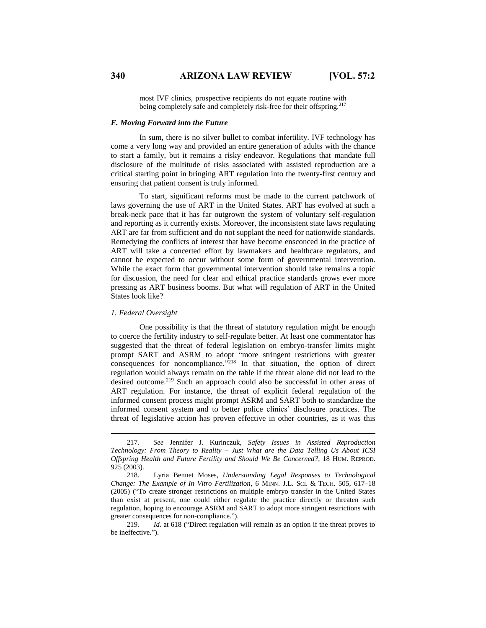most IVF clinics, prospective recipients do not equate routine with being completely safe and completely risk-free for their offspring.<sup>217</sup>

#### *E. Moving Forward into the Future*

In sum, there is no silver bullet to combat infertility. IVF technology has come a very long way and provided an entire generation of adults with the chance to start a family, but it remains a risky endeavor. Regulations that mandate full disclosure of the multitude of risks associated with assisted reproduction are a critical starting point in bringing ART regulation into the twenty-first century and ensuring that patient consent is truly informed.

To start, significant reforms must be made to the current patchwork of laws governing the use of ART in the United States. ART has evolved at such a break-neck pace that it has far outgrown the system of voluntary self-regulation and reporting as it currently exists. Moreover, the inconsistent state laws regulating ART are far from sufficient and do not supplant the need for nationwide standards. Remedying the conflicts of interest that have become ensconced in the practice of ART will take a concerted effort by lawmakers and healthcare regulators, and cannot be expected to occur without some form of governmental intervention. While the exact form that governmental intervention should take remains a topic for discussion, the need for clear and ethical practice standards grows ever more pressing as ART business booms. But what will regulation of ART in the United States look like?

#### *1. Federal Oversight*

 $\overline{a}$ 

One possibility is that the threat of statutory regulation might be enough to coerce the fertility industry to self-regulate better. At least one commentator has suggested that the threat of federal legislation on embryo-transfer limits might prompt SART and ASRM to adopt "more stringent restrictions with greater consequences for noncompliance." <sup>218</sup> In that situation, the option of direct regulation would always remain on the table if the threat alone did not lead to the desired outcome.<sup>219</sup> Such an approach could also be successful in other areas of ART regulation. For instance, the threat of explicit federal regulation of the informed consent process might prompt ASRM and SART both to standardize the informed consent system and to better police clinics' disclosure practices. The threat of legislative action has proven effective in other countries, as it was this

<sup>217</sup>*. See* Jennifer J. Kurinczuk, *Safety Issues in Assisted Reproduction Technology: From Theory to Reality – Just What are the Data Telling Us About ICSI Offspring Health and Future Fertility and Should We Be Concerned?*, 18 HUM. REPROD. 925 (2003).

<sup>218.</sup> Lyria Bennet Moses, *Understanding Legal Responses to Technological Change: The Example of In Vitro Fertilization*, 6 MINN. J.L. SCI. & TECH. 505, 617–18 (2005) ("To create stronger restrictions on multiple embryo transfer in the United States than exist at present, one could either regulate the practice directly or threaten such regulation, hoping to encourage ASRM and SART to adopt more stringent restrictions with greater consequences for non-compliance.").

<sup>219</sup>*. Id.* at 618 ("Direct regulation will remain as an option if the threat proves to be ineffective.").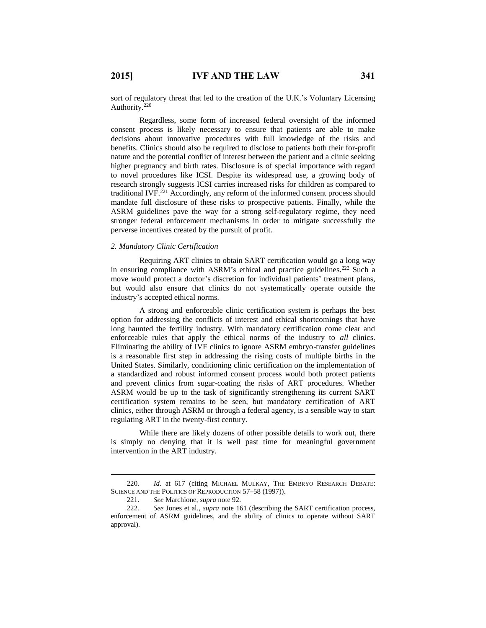sort of regulatory threat that led to the creation of the U.K.'s Voluntary Licensing Authority.<sup>220</sup>

Regardless, some form of increased federal oversight of the informed consent process is likely necessary to ensure that patients are able to make decisions about innovative procedures with full knowledge of the risks and benefits. Clinics should also be required to disclose to patients both their for-profit nature and the potential conflict of interest between the patient and a clinic seeking higher pregnancy and birth rates. Disclosure is of special importance with regard to novel procedures like ICSI. Despite its widespread use, a growing body of research strongly suggests ICSI carries increased risks for children as compared to traditional IVF. <sup>221</sup> Accordingly, any reform of the informed consent process should mandate full disclosure of these risks to prospective patients. Finally, while the ASRM guidelines pave the way for a strong self-regulatory regime, they need stronger federal enforcement mechanisms in order to mitigate successfully the perverse incentives created by the pursuit of profit.

#### *2. Mandatory Clinic Certification*

Requiring ART clinics to obtain SART certification would go a long way in ensuring compliance with ASRM's ethical and practice guidelines.<sup>222</sup> Such a move would protect a doctor's discretion for individual patients' treatment plans, but would also ensure that clinics do not systematically operate outside the industry's accepted ethical norms.

A strong and enforceable clinic certification system is perhaps the best option for addressing the conflicts of interest and ethical shortcomings that have long haunted the fertility industry. With mandatory certification come clear and enforceable rules that apply the ethical norms of the industry to *all* clinics. Eliminating the ability of IVF clinics to ignore ASRM embryo-transfer guidelines is a reasonable first step in addressing the rising costs of multiple births in the United States. Similarly, conditioning clinic certification on the implementation of a standardized and robust informed consent process would both protect patients and prevent clinics from sugar-coating the risks of ART procedures. Whether ASRM would be up to the task of significantly strengthening its current SART certification system remains to be seen, but mandatory certification of ART clinics, either through ASRM or through a federal agency, is a sensible way to start regulating ART in the twenty-first century.

While there are likely dozens of other possible details to work out, there is simply no denying that it is well past time for meaningful government intervention in the ART industry.

<sup>220</sup>*. Id.* at 617 (citing MICHAEL MULKAY, THE EMBRYO RESEARCH DEBATE: SCIENCE AND THE POLITICS OF REPRODUCTION 57-58 (1997)).

<sup>221.</sup> *See* Marchione, *supra* note 92.

<sup>222</sup>*. See* Jones et al., *supra* note 161 (describing the SART certification process, enforcement of ASRM guidelines, and the ability of clinics to operate without SART approval).